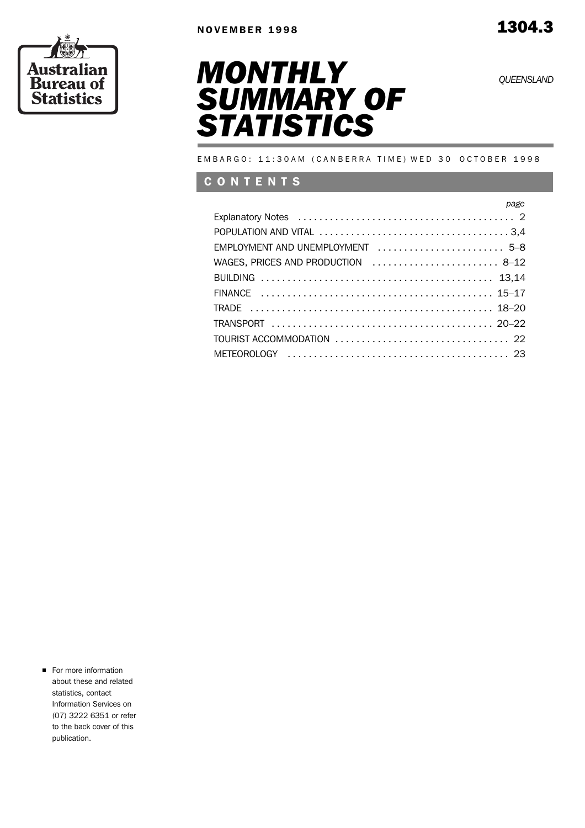





EMBARGO: 11:30AM (CANBERRA TIME) WED 30 OCTOBER 1998

## C O N T E N T S

| page                                                                                                           |  |
|----------------------------------------------------------------------------------------------------------------|--|
| Explanatory Notes (all contractions) Explanatory Notes (b) (contractions) and the set of the set of the set of |  |
|                                                                                                                |  |
| EMPLOYMENT AND UNEMPLOYMENT  5-8                                                                               |  |
| WAGES, PRICES AND PRODUCTION  8-12                                                                             |  |
|                                                                                                                |  |
|                                                                                                                |  |
|                                                                                                                |  |
|                                                                                                                |  |
|                                                                                                                |  |
|                                                                                                                |  |

For more information about these and related statistics, contact Information Services on (07) 3222 6351 or refer to the back cover of this publication.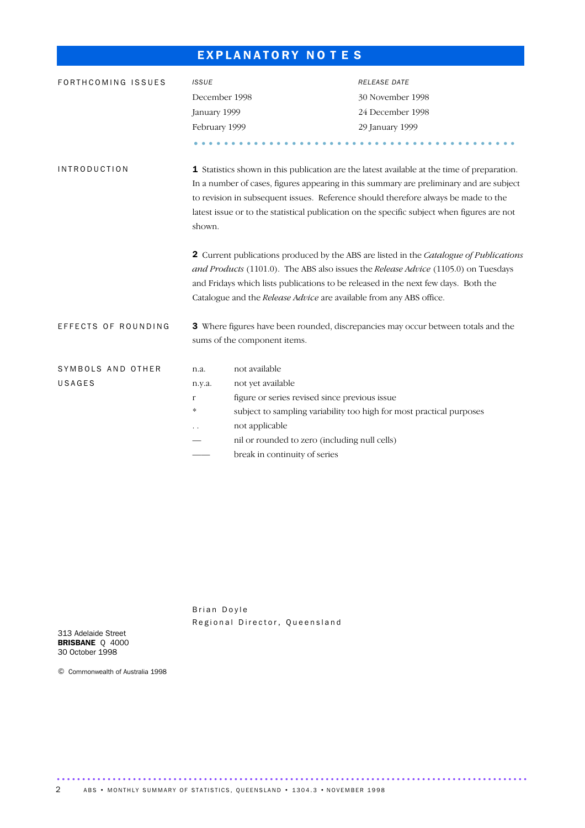# EXPLANATORY NOTES

| FORTHCOMING ISSUES  | <b>ISSUE</b>  |                                                                                                                                                                                                                                                                                                                                           | RELEASE DATE                                                                                                                                                                                                                                                                                                                                                                |  |  |  |  |  |
|---------------------|---------------|-------------------------------------------------------------------------------------------------------------------------------------------------------------------------------------------------------------------------------------------------------------------------------------------------------------------------------------------|-----------------------------------------------------------------------------------------------------------------------------------------------------------------------------------------------------------------------------------------------------------------------------------------------------------------------------------------------------------------------------|--|--|--|--|--|
|                     | December 1998 |                                                                                                                                                                                                                                                                                                                                           | 30 November 1998                                                                                                                                                                                                                                                                                                                                                            |  |  |  |  |  |
|                     | January 1999  |                                                                                                                                                                                                                                                                                                                                           | 24 December 1998                                                                                                                                                                                                                                                                                                                                                            |  |  |  |  |  |
|                     | February 1999 |                                                                                                                                                                                                                                                                                                                                           | 29 January 1999                                                                                                                                                                                                                                                                                                                                                             |  |  |  |  |  |
|                     |               |                                                                                                                                                                                                                                                                                                                                           |                                                                                                                                                                                                                                                                                                                                                                             |  |  |  |  |  |
| <b>INTRODUCTION</b> | shown.        |                                                                                                                                                                                                                                                                                                                                           | 1 Statistics shown in this publication are the latest available at the time of preparation.<br>In a number of cases, figures appearing in this summary are preliminary and are subject<br>to revision in subsequent issues. Reference should therefore always be made to the<br>latest issue or to the statistical publication on the specific subject when figures are not |  |  |  |  |  |
|                     |               | 2 Current publications produced by the ABS are listed in the Catalogue of Publications<br>and Products (1101.0). The ABS also issues the Release Advice (1105.0) on Tuesdays<br>and Fridays which lists publications to be released in the next few days. Both the<br>Catalogue and the Release Advice are available from any ABS office. |                                                                                                                                                                                                                                                                                                                                                                             |  |  |  |  |  |
| EFFECTS OF ROUNDING |               | sums of the component items.                                                                                                                                                                                                                                                                                                              | 3 Where figures have been rounded, discrepancies may occur between totals and the                                                                                                                                                                                                                                                                                           |  |  |  |  |  |
| SYMBOLS AND OTHER   | n.a.          | not available                                                                                                                                                                                                                                                                                                                             |                                                                                                                                                                                                                                                                                                                                                                             |  |  |  |  |  |
| USAGES              | n.y.a.        | not yet available                                                                                                                                                                                                                                                                                                                         |                                                                                                                                                                                                                                                                                                                                                                             |  |  |  |  |  |
|                     | $\Gamma$      | figure or series revised since previous issue                                                                                                                                                                                                                                                                                             |                                                                                                                                                                                                                                                                                                                                                                             |  |  |  |  |  |
|                     | $\approx$     |                                                                                                                                                                                                                                                                                                                                           | subject to sampling variability too high for most practical purposes                                                                                                                                                                                                                                                                                                        |  |  |  |  |  |
|                     |               | not applicable                                                                                                                                                                                                                                                                                                                            |                                                                                                                                                                                                                                                                                                                                                                             |  |  |  |  |  |
|                     |               | nil or rounded to zero (including null cells)                                                                                                                                                                                                                                                                                             |                                                                                                                                                                                                                                                                                                                                                                             |  |  |  |  |  |
|                     |               | break in continuity of series                                                                                                                                                                                                                                                                                                             |                                                                                                                                                                                                                                                                                                                                                                             |  |  |  |  |  |

Brian Doyle Regional Director, Queensland

.............................................................................................

313 Adelaide Street BRISBANE Q 4000 30 October 1998

© Commonwealth of Australia 1998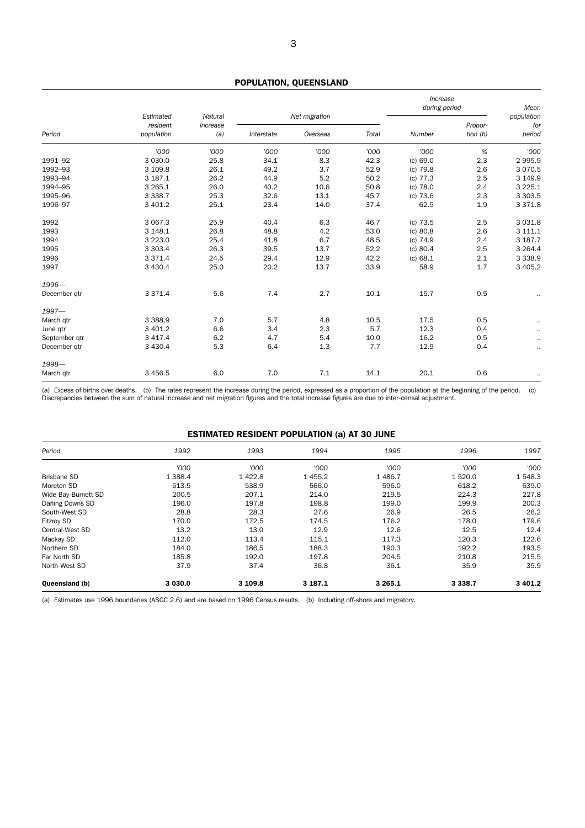## POPULATION, QUEENSLAND

|               |                        |                 |            |               | Increase<br>during period |            | Mean                  |               |
|---------------|------------------------|-----------------|------------|---------------|---------------------------|------------|-----------------------|---------------|
|               | Estimated              | Natural         |            | Net migration |                           |            |                       | population    |
| Period        | resident<br>population | increase<br>(a) | Interstate | Overseas      | Total                     | Number     | Propor-<br>tion $(b)$ | for<br>period |
|               | '000                   | '000            | '000       | '000          | '000                      | '000       | %                     | '000          |
| 1991-92       | 3 0 3 0.0              | 25.8            | 34.1       | 8.3           | 42.3                      | (c) 69.0   | 2.3                   | 2 9 9 5.9     |
| 1992-93       | 3 109.8                | 26.1            | 49.2       | 3.7           | 52.9                      | $(c)$ 79.8 | 2.6                   | 3 0 7 0.5     |
| 1993-94       | 3 187.1                | 26.2            | 44.9       | 5.2           | 50.2                      | $(c)$ 77.3 | 2.5                   | 3 149.9       |
| 1994-95       | 3 2 6 5 . 1            | 26.0            | 40.2       | 10.6          | 50.8                      | $(c)$ 78.0 | 2.4                   | 3 2 2 5 . 1   |
| 1995-96       | 3 3 3 8.7              | 25.3            | 32.6       | 13.1          | 45.7                      | $(c)$ 73.6 | 2.3                   | 3 3 0 3.5     |
| 1996-97       | 3 401.2                | 25.1            | 23.4       | 14.0          | 37.4                      | 62.5       | 1.9                   | 3 3 7 1.8     |
| 1992          | 3 067.3                | 25.9            | 40.4       | 6.3           | 46.7                      | $(c)$ 73.5 | 2.5                   | 3 0 3 1.8     |
| 1993          | 3 148.1                | 26.8            | 48.8       | 4.2           | 53.0                      | (c) 80.8   | 2.6                   | 3 111.1       |
| 1994          | 3 2 2 3 .0             | 25.4            | 41.8       | 6.7           | 48.5                      | $(c)$ 74.9 | 2.4                   | 3 187.7       |
| 1995          | 3 3 0 3.4              | 26.3            | 39.5       | 13.7          | 52.2                      | (c) 80.4   | 2.5                   | 3 2 6 4 . 4   |
| 1996          | 3 3 7 1.4              | 24.5            | 29.4       | 12.9          | 42.2                      | (c) 68.1   | 2.1                   | 3 3 3 8 . 9   |
| 1997          | 3 4 3 0.4              | 25.0            | 20.2       | 13.7          | 33.9                      | 58.9       | 1.7                   | 3 4 0 5.2     |
| 1996-         |                        |                 |            |               |                           |            |                       |               |
| December qtr  | 3 3 7 1.4              | 5.6             | 7.4        | 2.7           | 10.1                      | 15.7       | 0.5                   |               |
| $1997 -$      |                        |                 |            |               |                           |            |                       |               |
| March qtr     | 3 3 8 8.9              | 7.0             | 5.7        | 4.8           | 10.5                      | 17.5       | 0.5                   | $\cdot$ .     |
| June qtr      | 3 401.2                | 6.6             | 3.4        | 2.3           | 5.7                       | 12.3       | 0.4                   | $\cdot$ .     |
| September gtr | 3 4 1 7 . 4            | 6.2             | 4.7        | 5.4           | 10.0                      | 16.2       | 0.5                   | $\cdot$ .     |
| December qtr  | 3 4 3 0.4              | 5.3             | 6.4        | 1.3           | 7.7                       | 12.9       | 0.4                   | $\cdot$ .     |
| 1998-         |                        |                 |            |               |                           |            |                       |               |
| March qtr     | 3 4 5 6.5              | 6.0             | 7.0        | 7.1           | 14.1                      | 20.1       | 0.6                   | $\cdot$ .     |

(a) Excess of births over deaths. (b) The rates represent the increase during the period, expressed as a proportion of the population at the beginning of the period. (c) Discrepancies between the sum of natural increase and net migration figures and the total increase figures are due to inter-censal adjustment.

## ESTIMATED RESIDENT POPULATION (a) AT 30 JUNE

| Period              | 1992      | 1993    | 1994    | 1995      | 1996      | 1997      |
|---------------------|-----------|---------|---------|-----------|-----------|-----------|
|                     | '000      | '000    | 000'    | '000'     | '000      | '000      |
| <b>Brisbane SD</b>  | 1 3 8 8.4 | 1422.8  | 1455.2  | 1 4 8 6.7 | 1 5 2 0.0 | 1548.3    |
| Moreton SD          | 513.5     | 538.9   | 566.0   | 596.0     | 618.2     | 639.0     |
| Wide Bay-Burnett SD | 200.5     | 207.1   | 214.0   | 219.5     | 224.3     | 227.8     |
| Darling Downs SD    | 196.0     | 197.8   | 198.8   | 199.0     | 199.9     | 200.3     |
| South-West SD       | 28.8      | 28.3    | 27.6    | 26.9      | 26.5      | 26.2      |
| Fitzroy SD          | 170.0     | 172.5   | 174.5   | 176.2     | 178.0     | 179.6     |
| Central-West SD     | 13.2      | 13.0    | 12.9    | 12.6      | 12.5      | 12.4      |
| Mackay SD           | 112.0     | 113.4   | 115.1   | 117.3     | 120.3     | 122.6     |
| Northern SD         | 184.0     | 186.5   | 188.3   | 190.3     | 192.2     | 193.5     |
| Far North SD        | 185.8     | 192.0   | 197.8   | 204.5     | 210.8     | 215.5     |
| North-West SD       | 37.9      | 37.4    | 36.8    | 36.1      | 35.9      | 35.9      |
| Queensland (b)      | 3 0 3 0.0 | 3 109.8 | 3 187.1 | 3 2 6 5 1 | 3 3 3 8.7 | 3 4 0 1.2 |

(a) Estimates use 1996 boundaries (ASGC 2.6) and are based on 1996 Census results. (b) Including off-shore and migratory.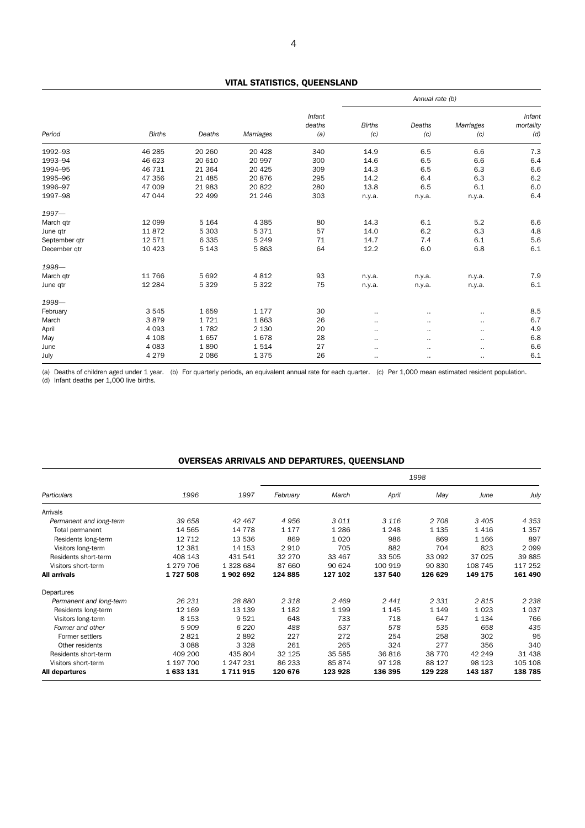## VITAL STATISTICS, QUEENSLAND

|               |               |          |           |                         | Annual rate (b)      |               |                  |                            |
|---------------|---------------|----------|-----------|-------------------------|----------------------|---------------|------------------|----------------------------|
| Period        | <b>Births</b> | Deaths   | Marriages | Infant<br>deaths<br>(a) | <b>Births</b><br>(c) | Deaths<br>(c) | Marriages<br>(c) | Infant<br>mortality<br>(d) |
| 1992-93       | 46 285        | 20 260   | 20 4 28   | 340                     | 14.9                 | 6.5           | 6.6              | 7.3                        |
| 1993-94       | 46 623        | 20 610   | 20 997    | 300                     | 14.6                 | 6.5           | 6.6              | 6.4                        |
| 1994-95       | 46 731        | 21 3 64  | 20 4 25   | 309                     | 14.3                 | 6.5           | 6.3              | 6.6                        |
| 1995-96       | 47 356        | 21 4 8 5 | 20876     | 295                     | 14.2                 | 6.4           | 6.3              | 6.2                        |
| 1996-97       | 47 009        | 21 983   | 20 822    | 280                     | 13.8                 | 6.5           | 6.1              | 6.0                        |
| 1997-98       | 47 044        | 22 499   | 21 246    | 303                     | n.y.a.               | n.y.a.        | n.y.a.           | 6.4                        |
| $1997 -$      |               |          |           |                         |                      |               |                  |                            |
| March qtr     | 12 0 9 9      | 5 1 6 4  | 4 3 8 5   | 80                      | 14.3                 | 6.1           | 5.2              | 6.6                        |
| June qtr      | 11872         | 5 3 0 3  | 5371      | 57                      | 14.0                 | 6.2           | 6.3              | 4.8                        |
| September qtr | 12 571        | 6335     | 5 2 4 9   | 71                      | 14.7                 | 7.4           | 6.1              | 5.6                        |
| December gtr  | 10 4 23       | 5 1 4 3  | 5863      | 64                      | 12.2                 | 6.0           | 6.8              | 6.1                        |
| 1998-         |               |          |           |                         |                      |               |                  |                            |
| March gtr     | 11 766        | 5692     | 4812      | 93                      | n.y.a.               | n.y.a.        | n.y.a.           | 7.9                        |
| June qtr      | 12 2 84       | 5 3 2 9  | 5 3 2 2   | 75                      | n.y.a.               | n.y.a.        | n.y.a.           | 6.1                        |
| 1998-         |               |          |           |                         |                      |               |                  |                            |
| February      | 3 5 4 5       | 1659     | 1 1 7 7   | 30                      | ٠.                   | $\sim$        | $\cdots$         | 8.5                        |
| March         | 3879          | 1721     | 1863      | 26                      | $\cdot$ .            | $\cdots$      | $\cdots$         | 6.7                        |
| April         | 4 0 9 3       | 1782     | 2 1 3 0   | 20                      | $\cdot$ .            |               | $\cdots$         | 4.9                        |
| May           | 4 1 0 8       | 1657     | 1678      | 28                      | $\cdot$ .            | $\sim$ $\sim$ | $\cdots$         | 6.8                        |
| June          | 4 0 8 3       | 1890     | 1514      | 27                      | ٠.                   | $\cdots$      | $\cdots$         | 6.6                        |
| July          | 4 2 7 9       | 2086     | 1375      | 26                      | $\bullet$ $\bullet$  |               | $\cdots$         | 6.1                        |

(a) Deaths of children aged under 1 year. (b) For quarterly periods, an equivalent annual rate for each quarter. (c) Per 1,000 mean estimated resident population. (d) Infant deaths per 1,000 live births.

## OVERSEAS ARRIVALS AND DEPARTURES, QUEENSLAND

|                         |           |           | 1998     |         |         |          |         |         |
|-------------------------|-----------|-----------|----------|---------|---------|----------|---------|---------|
| Particulars             | 1996      | 1997      | February | March   | April   | May      | June    | July    |
| Arrivals                |           |           |          |         |         |          |         |         |
| Permanent and long-term | 39 658    | 42 467    | 4956     | 3011    | 3 1 1 6 | 2 708    | 3 4 0 5 | 4 3 5 3 |
| Total permanent         | 14 565    | 14 7 7 8  | 1 1 7 7  | 1 2 8 6 | 1 2 4 8 | 1 1 3 5  | 1416    | 1357    |
| Residents long-term     | 12 7 12   | 13 536    | 869      | 1 0 2 0 | 986     | 869      | 1 1 6 6 | 897     |
| Visitors long-term      | 12 3 8 1  | 14 153    | 2910     | 705     | 882     | 704      | 823     | 2099    |
| Residents short-term    | 408 143   | 431 541   | 32 270   | 33 467  | 33 505  | 33 092   | 37 0 25 | 39 885  |
| Visitors short-term     | 1 279 706 | 1 328 684 | 87 660   | 90 624  | 100 919 | 90 830   | 108 745 | 117 252 |
| <b>All arrivals</b>     | 1727508   | 1902692   | 124 885  | 127 102 | 137 540 | 126 629  | 149 175 | 161 490 |
| Departures              |           |           |          |         |         |          |         |         |
| Permanent and long-term | 26 231    | 28 880    | 2 3 1 8  | 2469    | 2441    | 2 3 3 1  | 2815    | 2 2 3 8 |
| Residents long-term     | 12 169    | 13 139    | 1 1 8 2  | 1 1 9 9 | 1 1 4 5 | 1 1 4 9  | 1 0 2 3 | 1 0 3 7 |
| Visitors long-term      | 8 1 5 3   | 9 5 2 1   | 648      | 733     | 718     | 647      | 1 1 3 4 | 766     |
| Former and other        | 5909      | 6 2 2 0   | 488      | 537     | 578     | 535      | 658     | 435     |
| Former settlers         | 2821      | 2892      | 227      | 272     | 254     | 258      | 302     | 95      |
| Other residents         | 3 0 8 8   | 3 3 2 8   | 261      | 265     | 324     | 277      | 356     | 340     |
| Residents short-term    | 409 200   | 435 804   | 32 125   | 35 585  | 36816   | 38 7 7 0 | 42 249  | 31 4 38 |
| Visitors short-term     | 1 197 700 | 1 247 231 | 86 233   | 85 874  | 97 128  | 88 127   | 98 1 23 | 105 108 |
| All departures          | 1633131   | 1711915   | 120 676  | 123 928 | 136 395 | 129 228  | 143 187 | 138 785 |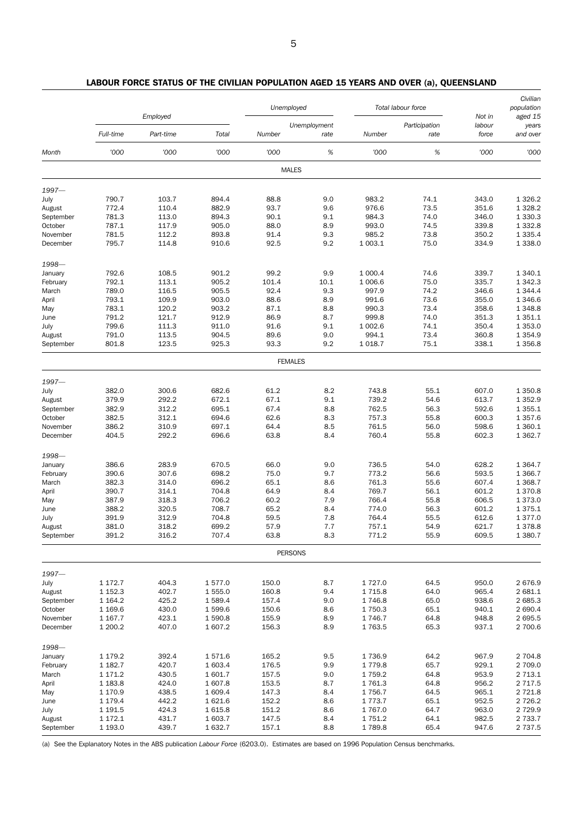|                  |                | Unemployed<br>Total labour force |                | Employed       |                      |                  |                       |                           |                              |  | Civilian<br>population |
|------------------|----------------|----------------------------------|----------------|----------------|----------------------|------------------|-----------------------|---------------------------|------------------------------|--|------------------------|
|                  | Full-time      | Part-time                        | Total          | Number         | Unemployment<br>rate | Number           | Participation<br>rate | Not in<br>labour<br>force | aged 15<br>years<br>and over |  |                        |
| Month            | '000           | '000                             | '000           | '000           | $\%$                 | '000             | $\%$                  | '000                      | '000                         |  |                        |
|                  |                |                                  |                | <b>MALES</b>   |                      |                  |                       |                           |                              |  |                        |
| $1997 -$         |                |                                  |                |                |                      |                  |                       |                           |                              |  |                        |
| July             | 790.7          | 103.7                            | 894.4          | 88.8           | 9.0                  | 983.2            | 74.1                  | 343.0                     | 1 3 2 6 . 2                  |  |                        |
| August           | 772.4          | 110.4                            | 882.9          | 93.7           | 9.6                  | 976.6            | 73.5                  | 351.6                     | 1 3 28.2                     |  |                        |
| September        | 781.3          | 113.0                            | 894.3          | 90.1           | 9.1                  | 984.3            | 74.0                  | 346.0                     | 1 3 3 0 . 3                  |  |                        |
| October          | 787.1          | 117.9                            | 905.0          | 88.0           | 8.9                  | 993.0            | 74.5                  | 339.8                     | 1 3 3 2.8                    |  |                        |
| November         | 781.5          | 112.2                            | 893.8          | 91.4           | 9.3                  | 985.2            | 73.8                  | 350.2                     | 1 3 3 5 . 4                  |  |                        |
| December         | 795.7          | 114.8                            | 910.6          | 92.5           | 9.2                  | 1 003.1          | 75.0                  | 334.9                     | 1 3 3 8 . 0                  |  |                        |
| 1998-            |                |                                  |                |                |                      |                  |                       |                           |                              |  |                        |
| January          | 792.6          | 108.5                            | 901.2          | 99.2           | 9.9                  | 1 000.4          | 74.6                  | 339.7                     | 1 340.1                      |  |                        |
| February         | 792.1          | 113.1                            | 905.2          | 101.4          | 10.1                 | 1 006.6          | 75.0                  | 335.7                     | 1 3 4 2.3                    |  |                        |
| March            | 789.0          | 116.5                            | 905.5          | 92.4           | 9.3                  | 997.9            | 74.2                  | 346.6                     | 1 3 4 4.4                    |  |                        |
| April            | 793.1          | 109.9                            | 903.0          | 88.6           | 8.9                  | 991.6            | 73.6                  | 355.0                     | 1 346.6                      |  |                        |
| May              | 783.1          | 120.2                            | 903.2          | 87.1           | 8.8                  | 990.3            | 73.4                  | 358.6                     | 1 3 4 8.8                    |  |                        |
| June<br>July     | 791.2<br>799.6 | 121.7<br>111.3                   | 912.9<br>911.0 | 86.9<br>91.6   | 8.7<br>9.1           | 999.8<br>1 002.6 | 74.0<br>74.1          | 351.3<br>350.4            | 1 3 5 1 . 1<br>1 3 5 3 . 0   |  |                        |
| August           | 791.0          | 113.5                            | 904.5          | 89.6           | 9.0                  | 994.1            | 73.4                  | 360.8                     | 1 3 5 4 . 9                  |  |                        |
| September        | 801.8          | 123.5                            | 925.3          | 93.3           | 9.2                  | 1 0 18.7         | 75.1                  | 338.1                     | 1 3 5 6.8                    |  |                        |
|                  |                |                                  |                | <b>FEMALES</b> |                      |                  |                       |                           |                              |  |                        |
|                  |                |                                  |                |                |                      |                  |                       |                           |                              |  |                        |
| $1997 -$<br>July | 382.0          | 300.6                            | 682.6          | 61.2           | 8.2                  | 743.8            | 55.1                  | 607.0                     | 1 350.8                      |  |                        |
| August           | 379.9          | 292.2                            | 672.1          | 67.1           | 9.1                  | 739.2            | 54.6                  | 613.7                     | 1 3 5 2.9                    |  |                        |
| September        | 382.9          | 312.2                            | 695.1          | 67.4           | 8.8                  | 762.5            | 56.3                  | 592.6                     | 1 3 5 5.1                    |  |                        |
| October          | 382.5          | 312.1                            | 694.6          | 62.6           | 8.3                  | 757.3            | 55.8                  | 600.3                     | 1 3 5 7 . 6                  |  |                        |
| November         | 386.2          | 310.9                            | 697.1          | 64.4           | 8.5                  | 761.5            | 56.0                  | 598.6                     | 1 360.1                      |  |                        |
| December         | 404.5          | 292.2                            | 696.6          | 63.8           | 8.4                  | 760.4            | 55.8                  | 602.3                     | 1 3 6 2.7                    |  |                        |
| 1998-            |                |                                  |                |                |                      |                  |                       |                           |                              |  |                        |
| January          | 386.6          | 283.9                            | 670.5          | 66.0           | 9.0                  | 736.5            | 54.0                  | 628.2                     | 1 3 6 4 . 7                  |  |                        |
| February         | 390.6          | 307.6                            | 698.2          | 75.0           | 9.7                  | 773.2            | 56.6                  | 593.5                     | 1 366.7                      |  |                        |
| March            | 382.3          | 314.0                            | 696.2          | 65.1           | 8.6                  | 761.3            | 55.6                  | 607.4                     | 1 3 68.7                     |  |                        |
| April            | 390.7          | 314.1                            | 704.8          | 64.9           | 8.4                  | 769.7            | 56.1                  | 601.2                     | 1 370.8                      |  |                        |
| May              | 387.9          | 318.3                            | 706.2          | 60.2           | 7.9                  | 766.4            | 55.8                  | 606.5                     | 1 373.0                      |  |                        |
| June             | 388.2          | 320.5                            | 708.7          | 65.2           | 8.4                  | 774.0            | 56.3                  | 601.2                     | 1 375.1                      |  |                        |
| July             | 391.9          | 312.9                            | 704.8          | 59.5           | 7.8                  | 764.4            | 55.5                  | 612.6                     | 1 377.0                      |  |                        |
| August           | 381.0          | 318.2                            | 699.2          | 57.9           | 7.7                  | 757.1            | 54.9                  | 621.7                     | 1 3 7 8.8                    |  |                        |
| September        | 391.2          | 316.2                            | 707.4          | 63.8           | 8.3                  | 771.2            | 55.9                  | 609.5                     | 1 380.7                      |  |                        |
|                  |                |                                  |                | <b>PERSONS</b> |                      |                  |                       |                           |                              |  |                        |
| $1997 -$         |                |                                  |                |                |                      |                  |                       |                           |                              |  |                        |
| July             | 1 172.7        | 404.3                            | 1577.0         | 150.0          | 8.7                  | 1727.0           | 64.5                  | 950.0                     | 2676.9                       |  |                        |
| August           | 1 1 5 2 . 3    | 402.7                            | 1 555.0        | 160.8          | 9.4                  | 1 7 1 5.8        | 64.0                  | 965.4                     | 2 681.1                      |  |                        |
| September        | 1 164.2        | 425.2                            | 1 589.4        | 157.4          | 9.0                  | 1746.8           | 65.0                  | 938.6                     | 2 685.3                      |  |                        |
| October          | 1 169.6        | 430.0                            | 1599.6         | 150.6          | 8.6                  | 1750.3           | 65.1                  | 940.1                     | 2 690.4                      |  |                        |
| November         | 1 167.7        | 423.1                            | 1 590.8        | 155.9          | 8.9                  | 1746.7           | 64.8                  | 948.8                     | 2 695.5                      |  |                        |
| December         | 1 200.2        | 407.0                            | 1607.2         | 156.3          | 8.9                  | 1763.5           | 65.3                  | 937.1                     | 2 700.6                      |  |                        |
| 1998-            |                |                                  |                |                |                      |                  |                       |                           |                              |  |                        |
| January          | 1 179.2        | 392.4                            | 1571.6         | 165.2          | 9.5                  | 1736.9           | 64.2                  | 967.9                     | 2 704.8                      |  |                        |
| February         | 1 182.7        | 420.7                            | 1 603.4        | 176.5          | 9.9                  | 1779.8           | 65.7                  | 929.1                     | 2 709.0                      |  |                        |
| March            | 1 171.2        | 430.5                            | 1 601.7        | 157.5          | 9.0                  | 1759.2           | 64.8                  | 953.9                     | 2 7 1 3 . 1                  |  |                        |
| April            | 1 183.8        | 424.0                            | 1 607.8        | 153.5          | 8.7                  | 1761.3           | 64.8                  | 956.2                     | 2 7 1 7 .5                   |  |                        |
| May              | 1 170.9        | 438.5                            | 1 609.4        | 147.3          | 8.4                  | 1756.7           | 64.5                  | 965.1                     | 2 7 2 1.8                    |  |                        |
| June             | 1 179.4        | 442.2                            | 1621.6         | 152.2          | 8.6                  | 1773.7           | 65.1                  | 952.5                     | 2 7 2 6.2                    |  |                        |
| July             | 1 191.5        | 424.3                            | 1615.8         | 151.2          | 8.6                  | 1767.0           | 64.7                  | 963.0                     | 2 7 2 9.9                    |  |                        |
| August           | 1 172.1        | 431.7                            | 1 603.7        | 147.5          | 8.4                  | 1751.2           | 64.1                  | 982.5                     | 2 733.7                      |  |                        |
| September        | 1 193.0        | 439.7                            | 1632.7         | 157.1          | 8.8                  | 1789.8           | 65.4                  | 947.6                     | 2 7 3 7 .5                   |  |                        |

## LABOUR FORCE STATUS OF THE CIVILIAN POPULATION AGED 15 YEARS AND OVER (a), QUEENSLAND

(a) See the Explanatory Notes in the ABS publication *Labour Force* (6203.0). Estimates are based on 1996 Population Census benchmarks.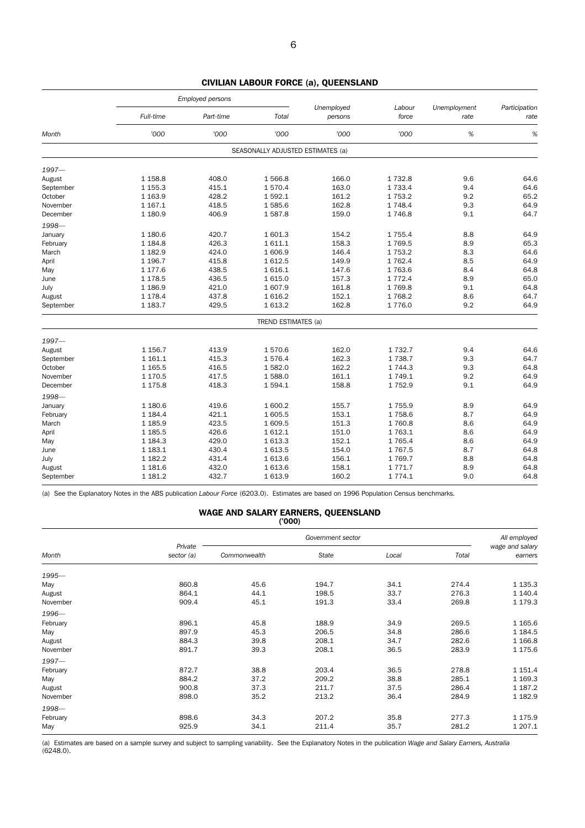|           |             | Employed persons |                                   |                       |                 |                      |                       |
|-----------|-------------|------------------|-----------------------------------|-----------------------|-----------------|----------------------|-----------------------|
|           | Full-time   | Part-time        | Total                             | Unemployed<br>persons | Labour<br>force | Unemployment<br>rate | Participation<br>rate |
| Month     | '000        | '000             | '000                              | '000                  | '000            | %                    | %                     |
|           |             |                  | SEASONALLY ADJUSTED ESTIMATES (a) |                       |                 |                      |                       |
| $1997 -$  |             |                  |                                   |                       |                 |                      |                       |
| August    | 1 1 58.8    | 408.0            | 1566.8                            | 166.0                 | 1732.8          | 9.6                  | 64.6                  |
| September | 1 1 5 5.3   | 415.1            | 1570.4                            | 163.0                 | 1 7 3 3.4       | 9.4                  | 64.6                  |
| October   | 1 1 6 3 . 9 | 428.2            | 1592.1                            | 161.2                 | 1753.2          | 9.2                  | 65.2                  |
| November  | 1 1 6 7 . 1 | 418.5            | 1585.6                            | 162.8                 | 1 748.4         | 9.3                  | 64.9                  |
| December  | 1 180.9     | 406.9            | 1587.8                            | 159.0                 | 1746.8          | 9.1                  | 64.7                  |
| 1998-     |             |                  |                                   |                       |                 |                      |                       |
| January   | 1 180.6     | 420.7            | 1 601.3                           | 154.2                 | 1755.4          | 8.8                  | 64.9                  |
| February  | 1 1 8 4 . 8 | 426.3            | 1611.1                            | 158.3                 | 1769.5          | 8.9                  | 65.3                  |
| March     | 1 182.9     | 424.0            | 1 606.9                           | 146.4                 | 1 7 5 3.2       | 8.3                  | 64.6                  |
| April     | 1 196.7     | 415.8            | 1612.5                            | 149.9                 | 1 7 6 2.4       | 8.5                  | 64.9                  |
| May       | 1 177.6     | 438.5            | 1616.1                            | 147.6                 | 1763.6          | 8.4                  | 64.8                  |
| June      | 1 1 7 8.5   | 436.5            | 1615.0                            | 157.3                 | 1 7 7 2.4       | 8.9                  | 65.0                  |
| July      | 1 186.9     | 421.0            | 1607.9                            | 161.8                 | 1769.8          | 9.1                  | 64.8                  |
| August    | 1 1 7 8 . 4 | 437.8            | 1616.2                            | 152.1                 | 1 768.2         | 8.6                  | 64.7                  |
| September | 1 183.7     | 429.5            | 1 613.2                           | 162.8                 | 1776.0          | 9.2                  | 64.9                  |
|           |             |                  | TREND ESTIMATES (a)               |                       |                 |                      |                       |
| 1997-     |             |                  |                                   |                       |                 |                      |                       |
| August    | 1 1 5 6 . 7 | 413.9            | 1570.6                            | 162.0                 | 1 7 3 2.7       | 9.4                  | 64.6                  |
| September | 1 1 6 1 . 1 | 415.3            | 1576.4                            | 162.3                 | 1 7 3 8.7       | 9.3                  | 64.7                  |
| October   | 1 1 6 5 . 5 | 416.5            | 1582.0                            | 162.2                 | 1 744.3         | 9.3                  | 64.8                  |
| November  | 1 170.5     | 417.5            | 1588.0                            | 161.1                 | 1749.1          | 9.2                  | 64.9                  |
| December  | 1 1 7 5.8   | 418.3            | 1594.1                            | 158.8                 | 1752.9          | 9.1                  | 64.9                  |
| 1998-     |             |                  |                                   |                       |                 |                      |                       |
| January   | 1 180.6     | 419.6            | 1 600.2                           | 155.7                 | 1 7 5 5.9       | 8.9                  | 64.9                  |
| February  | 1 1 8 4 . 4 | 421.1            | 1 605.5                           | 153.1                 | 1 758.6         | 8.7                  | 64.9                  |
| March     | 1 1 8 5 . 9 | 423.5            | 1 609.5                           | 151.3                 | 1760.8          | 8.6                  | 64.9                  |
| April     | 1 1 8 5 .5  | 426.6            | 1612.1                            | 151.0                 | 1 763.1         | 8.6                  | 64.9                  |
| May       | 1 1 8 4 . 3 | 429.0            | 1 613.3                           | 152.1                 | 1 7 6 5.4       | 8.6                  | 64.9                  |
| June      | 1 1 8 3 . 1 | 430.4            | 1613.5                            | 154.0                 | 1767.5          | 8.7                  | 64.8                  |
| July      | 1 182.2     | 431.4            | 1613.6                            | 156.1                 | 1769.7          | 8.8                  | 64.8                  |
| August    | 1 1 8 1.6   | 432.0            | 1613.6                            | 158.1                 | 1 771.7         | 8.9                  | 64.8                  |
| September | 1 1 8 1 . 2 | 432.7            | 1 613.9                           | 160.2                 | 1 7 7 4 . 1     | 9.0                  | 64.8                  |

CIVILIAN LABOUR FORCE (a), QUEENSLAND

(a) See the Explanatory Notes in the ABS publication *Labour Force* (6203.0). Estimates are based on 1996 Population Census benchmarks.

#### WAGE AND SALARY EARNERS, QUEENSLAND ('000)

|          | Private    |              | All employed<br>wage and salary |       |       |             |
|----------|------------|--------------|---------------------------------|-------|-------|-------------|
| Month    | sector (a) | Commonwealth | State                           | Local | Total | earners     |
| $1995 -$ |            |              |                                 |       |       |             |
| May      | 860.8      | 45.6         | 194.7                           | 34.1  | 274.4 | 1 1 3 5 . 3 |
| August   | 864.1      | 44.1         | 198.5                           | 33.7  | 276.3 | 1 140.4     |
| November | 909.4      | 45.1         | 191.3                           | 33.4  | 269.8 | 1 179.3     |
| 1996-    |            |              |                                 |       |       |             |
| February | 896.1      | 45.8         | 188.9                           | 34.9  | 269.5 | 1 1 65.6    |
| May      | 897.9      | 45.3         | 206.5                           | 34.8  | 286.6 | 1 1 8 4 .5  |
| August   | 884.3      | 39.8         | 208.1                           | 34.7  | 282.6 | 1 1 66.8    |
| November | 891.7      | 39.3         | 208.1                           | 36.5  | 283.9 | 1 175.6     |
| $1997 -$ |            |              |                                 |       |       |             |
| February | 872.7      | 38.8         | 203.4                           | 36.5  | 278.8 | 1 1 5 1 . 4 |
| May      | 884.2      | 37.2         | 209.2                           | 38.8  | 285.1 | 1 1 6 9 . 3 |
| August   | 900.8      | 37.3         | 211.7                           | 37.5  | 286.4 | 1 1 8 7 . 2 |
| November | 898.0      | 35.2         | 213.2                           | 36.4  | 284.9 | 1 1 8 2.9   |
| 1998-    |            |              |                                 |       |       |             |
| February | 898.6      | 34.3         | 207.2                           | 35.8  | 277.3 | 1 175.9     |
| May      | 925.9      | 34.1         | 211.4                           | 35.7  | 281.2 | 1 207.1     |

(a) Estimates are based on a sample survey and subject to sampling variability. See the Explanatory Notes in the publication *Wage and Salary Earners, Australia* (6248.0).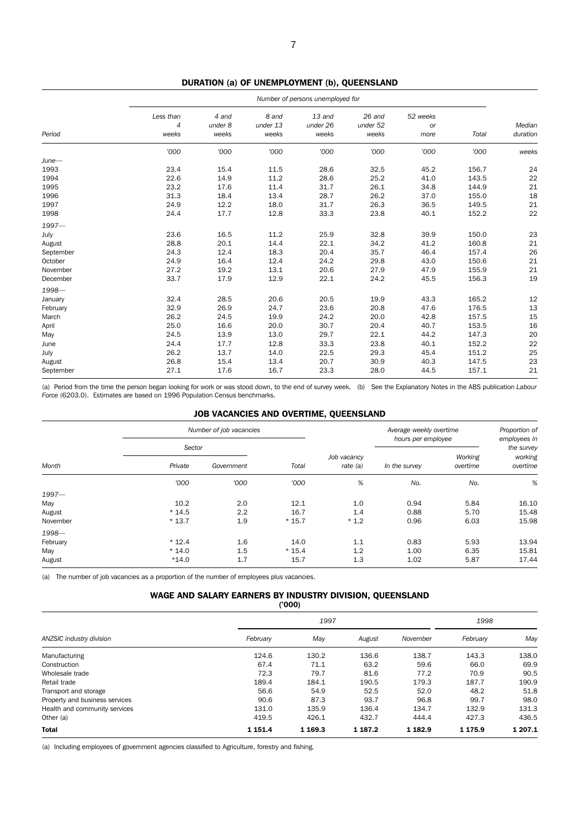|           | Number of persons unemployed for     |                           |                            |                             |                             |                        |       |                    |  |
|-----------|--------------------------------------|---------------------------|----------------------------|-----------------------------|-----------------------------|------------------------|-------|--------------------|--|
| Period    | Less than<br>$\overline{4}$<br>weeks | 4 and<br>under 8<br>weeks | 8 and<br>under 13<br>weeks | 13 and<br>under 26<br>weeks | 26 and<br>under 52<br>weeks | 52 weeks<br>or<br>more | Total | Median<br>duration |  |
|           | '000                                 | '000                      | '000                       | '000                        | '000                        | '000                   | '000  | weeks              |  |
| $June-$   |                                      |                           |                            |                             |                             |                        |       |                    |  |
| 1993      | 23.4                                 | 15.4                      | 11.5                       | 28.6                        | 32.5                        | 45.2                   | 156.7 | 24                 |  |
| 1994      | 22.6                                 | 14.9                      | 11.2                       | 28.6                        | 25.2                        | 41.0                   | 143.5 | 22                 |  |
| 1995      | 23.2                                 | 17.6                      | 11.4                       | 31.7                        | 26.1                        | 34.8                   | 144.9 | 21                 |  |
| 1996      | 31.3                                 | 18.4                      | 13.4                       | 28.7                        | 26.2                        | 37.0                   | 155.0 | 18                 |  |
| 1997      | 24.9                                 | 12.2                      | 18.0                       | 31.7                        | 26.3                        | 36.5                   | 149.5 | 21                 |  |
| 1998      | 24.4                                 | 17.7                      | 12.8                       | 33.3                        | 23.8                        | 40.1                   | 152.2 | 22                 |  |
| $1997 -$  |                                      |                           |                            |                             |                             |                        |       |                    |  |
| July      | 23.6                                 | 16.5                      | 11.2                       | 25.9                        | 32.8                        | 39.9                   | 150.0 | 23                 |  |
| August    | 28.8                                 | 20.1                      | 14.4                       | 22.1                        | 34.2                        | 41.2                   | 160.8 | 21                 |  |
| September | 24.3                                 | 12.4                      | 18.3                       | 20.4                        | 35.7                        | 46.4                   | 157.4 | 26                 |  |
| October   | 24.9                                 | 16.4                      | 12.4                       | 24.2                        | 29.8                        | 43.0                   | 150.6 | 21                 |  |
| November  | 27.2                                 | 19.2                      | 13.1                       | 20.6                        | 27.9                        | 47.9                   | 155.9 | 21                 |  |
| December  | 33.7                                 | 17.9                      | 12.9                       | 22.1                        | 24.2                        | 45.5                   | 156.3 | 19                 |  |
| 1998-     |                                      |                           |                            |                             |                             |                        |       |                    |  |
| January   | 32.4                                 | 28.5                      | 20.6                       | 20.5                        | 19.9                        | 43.3                   | 165.2 | 12                 |  |
| February  | 32.9                                 | 26.9                      | 24.7                       | 23.6                        | 20.8                        | 47.6                   | 176.5 | 13                 |  |
| March     | 26.2                                 | 24.5                      | 19.9                       | 24.2                        | 20.0                        | 42.8                   | 157.5 | 15                 |  |
| April     | 25.0                                 | 16.6                      | 20.0                       | 30.7                        | 20.4                        | 40.7                   | 153.5 | 16                 |  |
| May       | 24.5                                 | 13.9                      | 13.0                       | 29.7                        | 22.1                        | 44.2                   | 147.3 | 20                 |  |
| June      | 24.4                                 | 17.7                      | 12.8                       | 33.3                        | 23.8                        | 40.1                   | 152.2 | 22                 |  |
| July      | 26.2                                 | 13.7                      | 14.0                       | 22.5                        | 29.3                        | 45.4                   | 151.2 | 25                 |  |
| August    | 26.8                                 | 15.4                      | 13.4                       | 20.7                        | 30.9                        | 40.3                   | 147.5 | 23                 |  |
| September | 27.1                                 | 17.6                      | 16.7                       | 23.3                        | 28.0                        | 44.5                   | 157.1 | 21                 |  |

(a) Period from the time the person began looking for work or was stood down, to the end of survey week. (b) See the Explanatory Notes in the ABS publication *Labour Force* (6203.0). Estimates are based on 1996 Population Census benchmarks.

### JOB VACANCIES AND OVERTIME, QUEENSLAND

|          |         | Number of job vacancies |         |                           | Average weekly overtime | Proportion of<br>employees in<br>the survey |                     |
|----------|---------|-------------------------|---------|---------------------------|-------------------------|---------------------------------------------|---------------------|
| Month    | Sector  |                         |         |                           | hours per employee      |                                             |                     |
|          | Private | Government              | Total   | Job vacancy<br>rate $(a)$ | In the survey           | Working<br>overtime                         | working<br>overtime |
|          | '000    | '000                    | '000    | %                         | No.                     | No.                                         | %                   |
| $1997 -$ |         |                         |         |                           |                         |                                             |                     |
| May      | 10.2    | 2.0                     | 12.1    | 1.0                       | 0.94                    | 5.84                                        | 16.10               |
| August   | $*14.5$ | 2.2                     | 16.7    | 1.4                       | 0.88                    | 5.70                                        | 15.48               |
| November | $*13.7$ | 1.9                     | $*15.7$ | $*1.2$                    | 0.96                    | 6.03                                        | 15.98               |
| 1998-    |         |                         |         |                           |                         |                                             |                     |
| February | $*12.4$ | 1.6                     | 14.0    | 1.1                       | 0.83                    | 5.93                                        | 13.94               |
| May      | $*14.0$ | 1.5                     | $*15.4$ | 1.2                       | 1.00                    | 6.35                                        | 15.81               |
| August   | $*14.0$ | 1.7                     | 15.7    | 1.3                       | 1.02                    | 5.87                                        | 17.44               |

(a) The number of job vacancies as a proportion of the number of employees plus vacancies.

### WAGE AND SALARY EARNERS BY INDUSTRY DIVISION, QUEENSLAND

('000)

|                                |             |          | 1998        |             |             |         |
|--------------------------------|-------------|----------|-------------|-------------|-------------|---------|
| ANZSIC industry division       | February    | May      | August      | November    | February    | May     |
| Manufacturing                  | 124.6       | 130.2    | 136.6       | 138.7       | 143.3       | 138.0   |
| Construction                   | 67.4        | 71.1     | 63.2        | 59.6        | 66.0        | 69.9    |
| Wholesale trade                | 72.3        | 79.7     | 81.6        | 77.2        | 70.9        | 90.5    |
| Retail trade                   | 189.4       | 184.1    | 190.5       | 179.3       | 187.7       | 190.9   |
| Transport and storage          | 56.6        | 54.9     | 52.5        | 52.0        | 48.2        | 51.8    |
| Property and business services | 90.6        | 87.3     | 93.7        | 96.8        | 99.7        | 98.0    |
| Health and community services  | 131.0       | 135.9    | 136.4       | 134.7       | 132.9       | 131.3   |
| Other (a)                      | 419.5       | 426.1    | 432.7       | 444.4       | 427.3       | 436.5   |
| <b>Total</b>                   | 1 1 5 1 . 4 | 1 1 69.3 | 1 1 8 7 . 2 | 1 1 8 2 . 9 | 1 1 7 5 . 9 | 1 207.1 |

(a) Including employees of government agencies classified to Agriculture, forestry and fishing.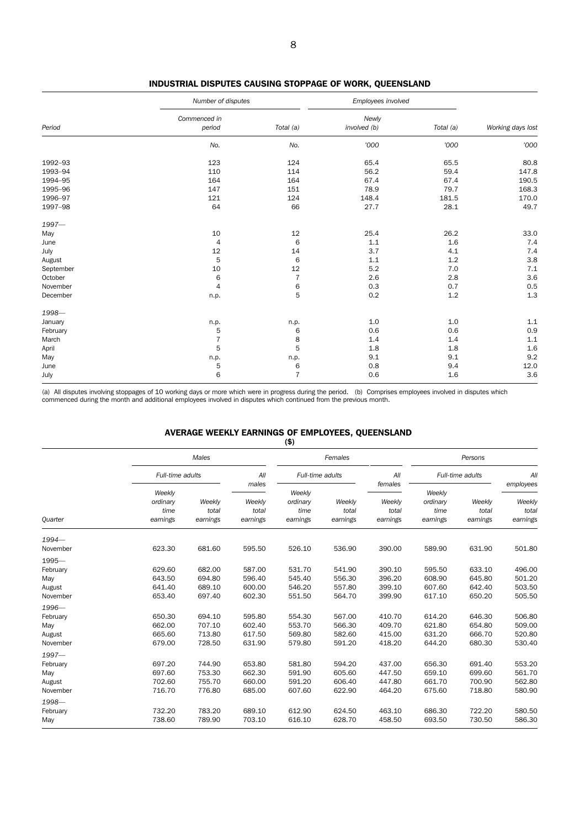|           | Number of disputes     |                | Employees involved    |           |                   |
|-----------|------------------------|----------------|-----------------------|-----------|-------------------|
| Period    | Commenced in<br>period | Total (a)      | Newly<br>involved (b) | Total (a) | Working days lost |
|           | No.                    | No.            | '000                  | '000      | '000              |
| 1992-93   | 123                    | 124            | 65.4                  | 65.5      | 80.8              |
| 1993-94   | 110                    | 114            | 56.2                  | 59.4      | 147.8             |
| 1994-95   | 164                    | 164            | 67.4                  | 67.4      | 190.5             |
| 1995-96   | 147                    | 151            | 78.9                  | 79.7      | 168.3             |
| 1996-97   | 121                    | 124            | 148.4                 | 181.5     | 170.0             |
| 1997-98   | 64                     | 66             | 27.7                  | 28.1      | 49.7              |
| 1997-     |                        |                |                       |           |                   |
| May       | 10                     | 12             | 25.4                  | 26.2      | 33.0              |
| June      | $\overline{4}$         | 6              | 1.1                   | 1.6       | 7.4               |
| July      | 12                     | 14             | 3.7                   | 4.1       | 7.4               |
| August    | 5                      | 6              | 1.1                   | 1.2       | 3.8               |
| September | 10                     | 12             | 5.2                   | 7.0       | 7.1               |
| October   | 6                      | $\overline{7}$ | 2.6                   | 2.8       | 3.6               |
| November  | $\overline{4}$         | $\,6$          | 0.3                   | 0.7       | 0.5               |
| December  | n.p.                   | 5              | 0.2                   | $1.2\,$   | $1.3$             |
| 1998-     |                        |                |                       |           |                   |
| January   | n.p.                   | n.p.           | 1.0                   | 1.0       | 1.1               |
| February  | 5                      | 6              | 0.6                   | 0.6       | 0.9               |
| March     | $\overline{7}$         | 8              | 1.4                   | 1.4       | 1.1               |
| April     | 5                      | 5              | $1.8\,$               | 1.8       | 1.6               |
| May       | n.p.                   | n.p.           | 9.1                   | 9.1       | 9.2               |
| June      | 5                      | 6              | 0.8                   | 9.4       | 12.0              |
| July      | 6                      | $\overline{7}$ | 0.6                   | 1.6       | 3.6               |

INDUSTRIAL DISPUTES CAUSING STOPPAGE OF WORK, QUEENSLAND

(a) All disputes involving stoppages of 10 working days or more which were in progress during the period. (b) Comprises employees involved in disputes which commenced during the month and additional employees involved in disputes which continued from the previous month.

#### AVERAGE WEEKLY EARNINGS OF EMPLOYEES, QUEENSLAND

|                                                   |                                        |                                      |                                      | $($ \$)                                |                                      |                                      |                                        |                                      |                                          |
|---------------------------------------------------|----------------------------------------|--------------------------------------|--------------------------------------|----------------------------------------|--------------------------------------|--------------------------------------|----------------------------------------|--------------------------------------|------------------------------------------|
|                                                   |                                        | Males                                |                                      |                                        | Females                              |                                      |                                        | Persons                              |                                          |
|                                                   |                                        | Full-time adults                     |                                      | Full-time adults                       |                                      | All<br>females                       | Full-time adults                       |                                      | All                                      |
| Quarter                                           | Weekly<br>ordinary<br>time<br>earnings | Weekly<br>total<br>earnings          | males<br>Weekly<br>total<br>earnings | Weekly<br>ordinary<br>time<br>earnings | Weekly<br>total<br>earnings          | Weekly<br>total<br>earnings          | Weekly<br>ordinary<br>time<br>earnings | Weekly<br>total<br>earnings          | employees<br>Weekly<br>total<br>earnings |
| $1994-$<br>November                               | 623.30                                 | 681.60                               | 595.50                               | 526.10                                 | 536.90                               | 390.00                               | 589.90                                 | 631.90                               | 501.80                                   |
| $1995-$<br>February<br>May<br>August<br>November  | 629.60<br>643.50<br>641.40<br>653.40   | 682.00<br>694.80<br>689.10<br>697.40 | 587.00<br>596.40<br>600.00<br>602.30 | 531.70<br>545.40<br>546.20<br>551.50   | 541.90<br>556.30<br>557.80<br>564.70 | 390.10<br>396.20<br>399.10<br>399.90 | 595.50<br>608.90<br>607.60<br>617.10   | 633.10<br>645.80<br>642.40<br>650.20 | 496.00<br>501.20<br>503.50<br>505.50     |
| 1996-<br>February<br>May<br>August<br>November    | 650.30<br>662.00<br>665.60<br>679.00   | 694.10<br>707.10<br>713.80<br>728.50 | 595.80<br>602.40<br>617.50<br>631.90 | 554.30<br>553.70<br>569.80<br>579.80   | 567.00<br>566.30<br>582.60<br>591.20 | 410.70<br>409.70<br>415.00<br>418.20 | 614.20<br>621.80<br>631.20<br>644.20   | 646.30<br>654.80<br>666.70<br>680.30 | 506.80<br>509.00<br>520.80<br>530.40     |
| $1997 -$<br>February<br>May<br>August<br>November | 697.20<br>697.60<br>702.60<br>716.70   | 744.90<br>753.30<br>755.70<br>776.80 | 653.80<br>662.30<br>660.00<br>685.00 | 581.80<br>591.90<br>591.20<br>607.60   | 594.20<br>605.60<br>606.40<br>622.90 | 437.00<br>447.50<br>447.80<br>464.20 | 656.30<br>659.10<br>661.70<br>675.60   | 691.40<br>699.60<br>700.90<br>718.80 | 553.20<br>561.70<br>562.80<br>580.90     |
| 1998-<br>February<br>May                          | 732.20<br>738.60                       | 783.20<br>789.90                     | 689.10<br>703.10                     | 612.90<br>616.10                       | 624.50<br>628.70                     | 463.10<br>458.50                     | 686.30<br>693.50                       | 722.20<br>730.50                     | 580.50<br>586.30                         |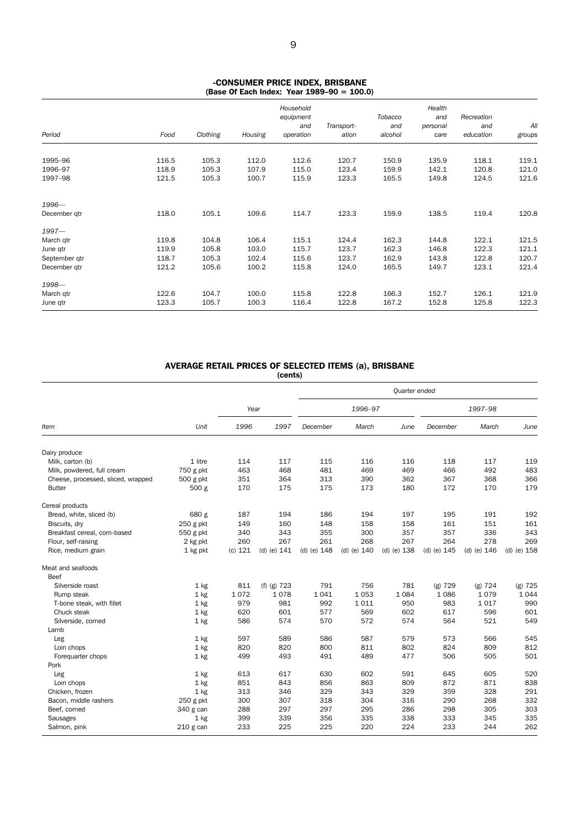#### -CONSUMER PRICE INDEX, BRISBANE (Base Of Each Index: Year 1989–90 = 100.0)

| Period        | Food  | Clothing | Housing | Household<br>equipment<br>and<br>operation | Transport-<br>ation | Tobacco<br>and<br>alcohol | Health<br>and<br>personal<br>care | Recreation<br>and<br>education | All<br>groups |
|---------------|-------|----------|---------|--------------------------------------------|---------------------|---------------------------|-----------------------------------|--------------------------------|---------------|
|               |       |          |         |                                            |                     |                           |                                   |                                |               |
| 1995-96       | 116.5 | 105.3    | 112.0   | 112.6                                      | 120.7               | 150.9                     | 135.9                             | 118.1                          | 119.1         |
| 1996-97       | 118.9 | 105.3    | 107.9   | 115.0                                      | 123.4               | 159.9                     | 142.1                             | 120.8                          | 121.0         |
| 1997-98       | 121.5 | 105.3    | 100.7   | 115.9                                      | 123.3               | 165.5                     | 149.8                             | 124.5                          | 121.6         |
| 1996-         |       |          |         |                                            |                     |                           |                                   |                                |               |
| December qtr  | 118.0 | 105.1    | 109.6   | 114.7                                      | 123.3               | 159.9                     | 138.5                             | 119.4                          | 120.8         |
| $1997 -$      |       |          |         |                                            |                     |                           |                                   |                                |               |
| March qtr     | 119.8 | 104.8    | 106.4   | 115.1                                      | 124.4               | 162.3                     | 144.8                             | 122.1                          | 121.5         |
| June qtr      | 119.9 | 105.8    | 103.0   | 115.7                                      | 123.7               | 162.3                     | 146.8                             | 122.3                          | 121.1         |
| September qtr | 118.7 | 105.3    | 102.4   | 115.6                                      | 123.7               | 162.9                     | 143.8                             | 122.8                          | 120.7         |
| December gtr  | 121.2 | 105.6    | 100.2   | 115.8                                      | 124.0               | 165.5                     | 149.7                             | 123.1                          | 121.4         |
| 1998-         |       |          |         |                                            |                     |                           |                                   |                                |               |
| March qtr     | 122.6 | 104.7    | 100.0   | 115.8                                      | 122.8               | 166.3                     | 152.7                             | 126.1                          | 121.9         |
| June qtr      | 123.3 | 105.7    | 100.3   | 116.4                                      | 122.8               | 167.2                     | 152.8                             | 125.8                          | 122.3         |

#### AVERAGE RETAIL PRICES OF SELECTED ITEMS (a), BRISBANE (cents)

|                                    |             |         |               | Quarter ended   |                 |                 |               |               |                 |
|------------------------------------|-------------|---------|---------------|-----------------|-----------------|-----------------|---------------|---------------|-----------------|
|                                    |             | Year    |               |                 | 1996-97         |                 |               | 1997-98       |                 |
| Item                               | Unit        | 1996    | 1997          | December        | March           | June            | December      | March         | June            |
| Dairy produce                      |             |         |               |                 |                 |                 |               |               |                 |
| Milk, carton (b)                   | 1 litre     | 114     | 117           | 115             | 116             | 116             | 118           | 117           | 119             |
| Milk, powdered, full cream         | 750 g pkt   | 463     | 468           | 481             | 469             | 469             | 466           | 492           | 483             |
| Cheese, processed, sliced, wrapped | 500 g pkt   | 351     | 364           | 313             | 390             | 362             | 367           | 368           | 366             |
| <b>Butter</b>                      | 500 g       | 170     | 175           | 175             | 173             | 180             | 172           | 170           | 179             |
| Cereal products                    |             |         |               |                 |                 |                 |               |               |                 |
| Bread, white, sliced (b)           | 680 g       | 187     | 194           | 186             | 194             | 197             | 195           | 191           | 192             |
| Biscuits, dry                      | $250$ g pkt | 149     | 160           | 148             | 158             | 158             | 161           | 151           | 161             |
| Breakfast cereal, corn-based       | 550 g pkt   | 340     | 343           | 355             | 300             | 357             | 357           | 336           | 343             |
| Flour, self-raising                | 2 kg pkt    | 260     | 267           | 261             | 268             | 267             | 264           | 278           | 269             |
| Rice, medium grain                 | 1 kg pkt    | (c) 121 | (d) (e) $141$ | $(d)$ (e) $148$ | $(d)$ (e) $140$ | $(d)$ (e) $138$ | (d) (e) $145$ | (d) (e) $146$ | $(d)$ (e) $158$ |
| Meat and seafoods                  |             |         |               |                 |                 |                 |               |               |                 |
| Beef                               |             |         |               |                 |                 |                 |               |               |                 |
| Silverside roast                   | $1$ kg      | 811     | $(f)$ (g) 723 | 791             | 756             | 781             | $(g)$ 729     | $(g)$ 724     | $(g)$ 725       |
| Rump steak                         | $1$ kg      | 1072    | 1078          | 1041            | 1 0 5 3         | 1 0 8 4         | 1086          | 1079          | 1044            |
| T-bone steak, with fillet          | 1 kg        | 979     | 981           | 992             | 1011            | 950             | 983           | 1017          | 990             |
| Chuck steak                        | 1 kg        | 620     | 601           | 577             | 569             | 602             | 617           | 596           | 601             |
| Silverside, corned                 | $1$ kg      | 586     | 574           | 570             | 572             | 574             | 564           | 521           | 549             |
| Lamb                               |             |         |               |                 |                 |                 |               |               |                 |
| Leg                                | 1 kg        | 597     | 589           | 586             | 587             | 579             | 573           | 566           | 545             |
| Loin chops                         | $1$ kg      | 820     | 820           | 800             | 811             | 802             | 824           | 809           | 812             |
| Forequarter chops                  | $1$ kg      | 499     | 493           | 491             | 489             | 477             | 506           | 505           | 501             |
| Pork                               |             |         |               |                 |                 |                 |               |               |                 |
| Leg                                | 1 kg        | 613     | 617           | 630             | 602             | 591             | 645           | 605           | 520             |
| Loin chops                         | 1 kg        | 851     | 843           | 856             | 863             | 809             | 872           | 871           | 838             |
| Chicken, frozen                    | $1$ kg      | 313     | 346           | 329             | 343             | 329             | 359           | 328           | 291             |
| Bacon, middle rashers              | $250$ g pkt | 300     | 307           | 318             | 304             | 316             | 290           | 268           | 332             |
| Beef, corned                       | 340 g can   | 288     | 297           | 297             | 295             | 286             | 298           | 305           | 303             |
| Sausages                           | $1$ kg      | 399     | 339           | 356             | 335             | 338             | 333           | 345           | 335             |
| Salmon, pink                       | 210 g can   | 233     | 225           | 225             | 220             | 224             | 233           | 244           | 262             |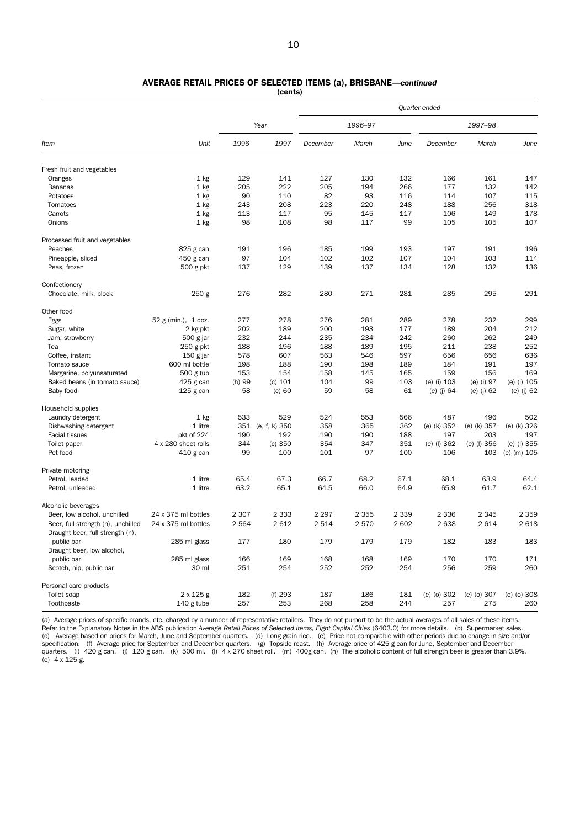| 1<br>$\Omega$ |  |
|---------------|--|
|               |  |

## AVERAGE RETAIL PRICES OF SELECTED ITEMS (a), BRISBANE—*continued*

| (cents) |
|---------|
|---------|

|                                    | Quarter ended       |         |                   |          |         |         |              |              |              |
|------------------------------------|---------------------|---------|-------------------|----------|---------|---------|--------------|--------------|--------------|
|                                    |                     |         | Year              |          | 1996-97 |         |              | 1997-98      |              |
| Item                               | Unit                | 1996    | 1997              | December | March   | June    | December     | March        | June         |
| Fresh fruit and vegetables         |                     |         |                   |          |         |         |              |              |              |
| Oranges                            | $1$ kg              | 129     | 141               | 127      | 130     | 132     | 166          | 161          | 147          |
| Bananas                            | 1 kg                | 205     | 222               | 205      | 194     | 266     | 177          | 132          | 142          |
| Potatoes                           | $1$ kg              | 90      | 110               | 82       | 93      | 116     | 114          | 107          | 115          |
| Tomatoes                           | $1$ kg              | 243     | 208               | 223      | 220     | 248     | 188          | 256          | 318          |
| Carrots                            | $1$ kg              | 113     | 117               | 95       | 145     | 117     | 106          | 149          | 178          |
| Onions                             | 1 kg                | 98      | 108               | 98       | 117     | 99      | 105          | 105          | 107          |
| Processed fruit and vegetables     |                     |         |                   |          |         |         |              |              |              |
| Peaches                            | 825 g can           | 191     | 196               | 185      | 199     | 193     | 197          | 191          | 196          |
| Pineapple, sliced                  | 450 g can           | 97      | 104               | 102      | 102     | 107     | 104          | 103          | 114          |
| Peas, frozen                       | 500 g pkt           | 137     | 129               | 139      | 137     | 134     | 128          | 132          | 136          |
| Confectionery                      |                     |         |                   |          |         |         |              |              |              |
| Chocolate, milk, block             | 250 <sub>g</sub>    | 276     | 282               | 280      | 271     | 281     | 285          | 295          | 291          |
| Other food                         |                     |         |                   |          |         |         |              |              |              |
| Eggs                               | 52 g (min.), 1 doz. | 277     | 278               | 276      | 281     | 289     | 278          | 232          | 299          |
| Sugar, white                       | 2 kg pkt            | 202     | 189               | 200      | 193     | 177     | 189          | 204          | 212          |
| Jam, strawberry                    | 500 g jar           | 232     | 244               | 235      | 234     | 242     | 260          | 262          | 249          |
| Tea                                | 250 g pkt           | 188     | 196               | 188      | 189     | 195     | 211          | 238          | 252          |
| Coffee, instant                    | $150 g$ jar         | 578     | 607               | 563      | 546     | 597     | 656          | 656          | 636          |
| Tomato sauce                       | 600 ml bottle       | 198     | 188               | 190      | 198     | 189     | 184          | 191          | 197          |
| Margarine, polyunsaturated         | $500$ g tub         | 153     | 154               | 158      | 145     | 165     | 159          | 156          | 169          |
| Baked beans (in tomato sauce)      | 425 g can           | (h) 99  | (c) 101           | 104      | 99      | 103     | (e) (i) 103  | (e) (i) 97   | (e) (i) 105  |
| Baby food                          | $125$ g can         | 58      | $(c)$ 60          | 59       | 58      | 61      | (e) $(i)$ 64 | (e) $(i)$ 62 | (e) $(j)$ 62 |
| Household supplies                 |                     |         |                   |          |         |         |              |              |              |
| Laundry detergent                  | $1$ kg              | 533     | 529               | 524      | 553     | 566     | 487          | 496          | 502          |
| Dishwashing detergent              | 1 litre             |         | 351 (e, f, k) 350 | 358      | 365     | 362     | (e) (k) 352  | (e) (k) 357  | (e) (k) 326  |
| <b>Facial tissues</b>              | pkt of 224          | 190     | 192               | 190      | 190     | 188     | 197          | 203          | 197          |
| Toilet paper                       | 4 x 280 sheet rolls | 344     | (c) 350           | 354      | 347     | 351     | (e) (l) 362  | (e) (l) 356  | (e) (l) 355  |
| Pet food                           | 410 g can           | 99      | 100               | 101      | 97      | 100     | 106          | 103          | (e) (m) 105  |
| Private motoring                   |                     |         |                   |          |         |         |              |              |              |
| Petrol, leaded                     | 1 litre             | 65.4    | 67.3              | 66.7     | 68.2    | 67.1    | 68.1         | 63.9         | 64.4         |
| Petrol, unleaded                   | 1 litre             | 63.2    | 65.1              | 64.5     | 66.0    | 64.9    | 65.9         | 61.7         | 62.1         |
| Alcoholic beverages                |                     |         |                   |          |         |         |              |              |              |
| Beer, low alcohol, unchilled       | 24 x 375 ml bottles | 2 3 0 7 | 2 3 3 3           | 2 2 9 7  | 2 3 5 5 | 2 3 3 9 | 2 3 3 6      | 2 3 4 5      | 2 3 5 9      |
| Beer, full strength (n), unchilled | 24 x 375 ml bottles | 2 5 6 4 | 2 6 1 2           | 2514     | 2570    | 2 6 0 2 | 2638         | 2614         | 2 6 18       |
| Draught beer, full strength (n),   |                     |         |                   |          |         |         |              |              |              |
| public bar                         | 285 ml glass        | 177     | 180               | 179      | 179     | 179     | 182          | 183          | 183          |
| Draught beer, low alcohol,         |                     |         |                   |          |         |         |              |              |              |
| public bar                         | 285 ml glass        | 166     | 169               | 168      | 168     | 169     | 170          | 170          | 171          |
| Scotch, nip, public bar            | 30 ml               | 251     | 254               | 252      | 252     | 254     | 256          | 259          | 260          |
| Personal care products             |                     |         |                   |          |         |         |              |              |              |
| Toilet soap                        | 2 x 125 g           | 182     | (f) 293           | 187      | 186     | 181     | (e) (o) 302  | (e) (o) 307  | (e) (o) 308  |
| Toothpaste                         | $140$ g tube        | 257     | 253               | 268      | 258     | 244     | 257          | 275          | 260          |

(a) Average prices of specific brands, etc. charged by a number of representative retailers. They do not purport to be the actual averages of all sales of these items. Refer to the Explanatory Notes in the ABS publication *Average Retail Prices of Selected Items, Eight Capital Cities (*6403.0) for more details. (b) Supermarket sales.<br>(c) Average based on prices for March, June and Septem specification. (f) Average price for September and December quarters. (g) Topside roast. (h) Average price of 425 g can for June, September and December quarters. (i) 420 g can. (j) 120 g can. (k) 500 ml. (l) 4 x 270 sheet roll. (m) 400g can. (n) The alcoholic content of full strength beer is greater than 3.9%.<br>(o) 4 x 125 g.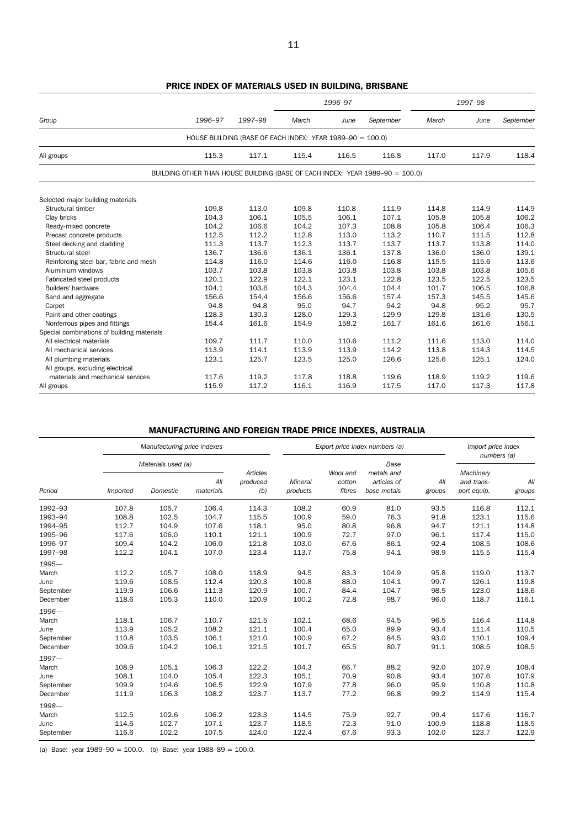|                                            |                                                                               |                                                           |       | 1996-97 |           |       | 1997-98 |           |
|--------------------------------------------|-------------------------------------------------------------------------------|-----------------------------------------------------------|-------|---------|-----------|-------|---------|-----------|
| Group                                      | 1996-97                                                                       | 1997-98                                                   | March | June    | September | March | June    | September |
|                                            |                                                                               | HOUSE BUILDING (BASE OF EACH INDEX: YEAR 1989-90 = 100.0) |       |         |           |       |         |           |
| All groups                                 | 115.3                                                                         | 117.1                                                     | 115.4 | 116.5   | 116.8     | 117.0 | 117.9   | 118.4     |
|                                            | BUILDING OTHER THAN HOUSE BUILDING (BASE OF EACH INDEX: YEAR 1989-90 = 100.0) |                                                           |       |         |           |       |         |           |
| Selected major building materials          |                                                                               |                                                           |       |         |           |       |         |           |
| Structural timber                          | 109.8                                                                         | 113.0                                                     | 109.8 | 110.8   | 111.9     | 114.8 | 114.9   | 114.9     |
| Clay bricks                                | 104.3                                                                         | 106.1                                                     | 105.5 | 106.1   | 107.1     | 105.8 | 105.8   | 106.2     |
| Ready-mixed concrete                       | 104.2                                                                         | 106.6                                                     | 104.2 | 107.3   | 108.8     | 105.8 | 106.4   | 106.3     |
| Precast concrete products                  | 112.5                                                                         | 112.2                                                     | 112.8 | 113.0   | 113.2     | 110.7 | 111.5   | 112.8     |
| Steel decking and cladding                 | 111.3                                                                         | 113.7                                                     | 112.3 | 113.7   | 113.7     | 113.7 | 113.8   | 114.0     |
| Structural steel                           | 136.7                                                                         | 136.6                                                     | 136.1 | 136.1   | 137.8     | 136.0 | 136.0   | 139.1     |
| Reinforcing steel bar, fabric and mesh     | 114.8                                                                         | 116.0                                                     | 114.6 | 116.0   | 116.8     | 115.5 | 115.6   | 113.6     |
| Aluminium windows                          | 103.7                                                                         | 103.8                                                     | 103.8 | 103.8   | 103.8     | 103.8 | 103.8   | 105.6     |
| Fabricated steel products                  | 120.1                                                                         | 122.9                                                     | 122.1 | 123.1   | 122.8     | 123.5 | 122.5   | 123.5     |
| Builders' hardware                         | 104.1                                                                         | 103.6                                                     | 104.3 | 104.4   | 104.4     | 101.7 | 106.5   | 106.8     |
| Sand and aggregate                         | 156.6                                                                         | 154.4                                                     | 156.6 | 156.6   | 157.4     | 157.3 | 145.5   | 145.6     |
| Carpet                                     | 94.8                                                                          | 94.8                                                      | 95.0  | 94.7    | 94.2      | 94.8  | 95.2    | 95.7      |
| Paint and other coatings                   | 128.3                                                                         | 130.3                                                     | 128.0 | 129.3   | 129.9     | 129.8 | 131.6   | 130.5     |
| Nonferrous pipes and fittings              | 154.4                                                                         | 161.6                                                     | 154.9 | 158.2   | 161.7     | 161.6 | 161.6   | 156.1     |
| Special combinations of building materials |                                                                               |                                                           |       |         |           |       |         |           |
| All electrical materials                   | 109.7                                                                         | 111.7                                                     | 110.0 | 110.6   | 111.2     | 111.6 | 113.0   | 114.0     |
| All mechanical services                    | 113.9                                                                         | 114.1                                                     | 113.9 | 113.9   | 114.2     | 113.8 | 114.3   | 114.5     |
| All plumbing materials                     | 123.1                                                                         | 125.7                                                     | 123.5 | 125.0   | 126.6     | 125.6 | 125.1   | 124.0     |
| All groups, excluding electrical           |                                                                               |                                                           |       |         |           |       |         |           |
| materials and mechanical services          | 117.6                                                                         | 119.2                                                     | 117.8 | 118.8   | 119.6     | 118.9 | 119.2   | 119.6     |
| All groups                                 | 115.9                                                                         | 117.2                                                     | 116.1 | 116.9   | 117.5     | 117.0 | 117.3   | 117.8     |

## PRICE INDEX OF MATERIALS USED IN BUILDING, BRISBANE

## MANUFACTURING AND FOREIGN TRADE PRICE INDEXES, AUSTRALIA

|           |          | Manufacturing price indexes |                  |          |                            | Export price index numbers (a) | Import price index<br>numbers (a) |               |                           |               |
|-----------|----------|-----------------------------|------------------|----------|----------------------------|--------------------------------|-----------------------------------|---------------|---------------------------|---------------|
|           |          | Materials used (a)          |                  | Articles | Mineral<br>(b)<br>products | Wool and                       | Base<br>metals and                |               | Machinery                 |               |
| Period    | Imported | Domestic                    | All<br>materials | produced |                            | cotton<br>fibres               | articles of<br>base metals        | All<br>groups | and trans-<br>port equip. | All<br>groups |
| 1992-93   | 107.8    | 105.7                       | 106.4            | 114.3    | 108.2                      | 60.9                           | 81.0                              | 93.5          | 116.8                     | 112.1         |
| 1993-94   | 108.8    | 102.5                       | 104.7            | 115.5    | 100.9                      | 59.0                           | 76.3                              | 91.8          | 123.1                     | 115.6         |
| 1994-95   | 112.7    | 104.9                       | 107.6            | 118.1    | 95.0                       | 80.8                           | 96.8                              | 94.7          | 121.1                     | 114.8         |
| 1995-96   | 117.6    | 106.0                       | 110.1            | 121.1    | 100.9                      | 72.7                           | 97.0                              | 96.1          | 117.4                     | 115.0         |
| 1996-97   | 109.4    | 104.2                       | 106.0            | 121.8    | 103.0                      | 67.6                           | 86.1                              | 92.4          | 108.5                     | 108.6         |
| 1997-98   | 112.2    | 104.1                       | 107.0            | 123.4    | 113.7                      | 75.8                           | 94.1                              | 98.9          | 115.5                     | 115.4         |
| 1995-     |          |                             |                  |          |                            |                                |                                   |               |                           |               |
| March     | 112.2    | 105.7                       | 108.0            | 118.9    | 94.5                       | 83.3                           | 104.9                             | 95.8          | 119.0                     | 113.7         |
| June      | 119.6    | 108.5                       | 112.4            | 120.3    | 100.8                      | 88.0                           | 104.1                             | 99.7          | 126.1                     | 119.8         |
| September | 119.9    | 106.6                       | 111.3            | 120.9    | 100.7                      | 84.4                           | 104.7                             | 98.5          | 123.0                     | 118.6         |
| December  | 118.6    | 105.3                       | 110.0            | 120.9    | 100.2                      | 72.8                           | 98.7                              | 96.0          | 118.7                     | 116.1         |
| 1996-     |          |                             |                  |          |                            |                                |                                   |               |                           |               |
| March     | 118.1    | 106.7                       | 110.7            | 121.5    | 102.1                      | 68.6                           | 94.5                              | 96.5          | 116.4                     | 114.8         |
| June      | 113.9    | 105.2                       | 108.2            | 121.1    | 100.4                      | 65.0                           | 89.9                              | 93.4          | 111.4                     | 110.5         |
| September | 110.8    | 103.5                       | 106.1            | 121.0    | 100.9                      | 67.2                           | 84.5                              | 93.0          | 110.1                     | 109.4         |
| December  | 109.6    | 104.2                       | 106.1            | 121.5    | 101.7                      | 65.5                           | 80.7                              | 91.1          | 108.5                     | 108.5         |
| $1997 -$  |          |                             |                  |          |                            |                                |                                   |               |                           |               |
| March     | 108.9    | 105.1                       | 106.3            | 122.2    | 104.3                      | 66.7                           | 88.2                              | 92.0          | 107.9                     | 108.4         |
| June      | 108.1    | 104.0                       | 105.4            | 122.3    | 105.1                      | 70.9                           | 90.8                              | 93.4          | 107.6                     | 107.9         |
| September | 109.9    | 104.6                       | 106.5            | 122.9    | 107.9                      | 77.8                           | 96.0                              | 95.9          | 110.8                     | 110.8         |
| December  | 111.9    | 106.3                       | 108.2            | 123.7    | 113.7                      | 77.2                           | 96.8                              | 99.2          | 114.9                     | 115.4         |
| 1998-     |          |                             |                  |          |                            |                                |                                   |               |                           |               |
| March     | 112.5    | 102.6                       | 106.2            | 123.3    | 114.5                      | 75.9                           | 92.7                              | 99.4          | 117.6                     | 116.7         |
| June      | 114.6    | 102.7                       | 107.1            | 123.7    | 118.5                      | 72.3                           | 91.0                              | 100.9         | 118.8                     | 118.5         |
| September | 116.6    | 102.2                       | 107.5            | 124.0    | 122.4                      | 67.6                           | 93.3                              | 102.0         | 123.7                     | 122.9         |

(a) Base: year  $1989-90 = 100.0$ . (b) Base: year  $1988-89 = 100.0$ .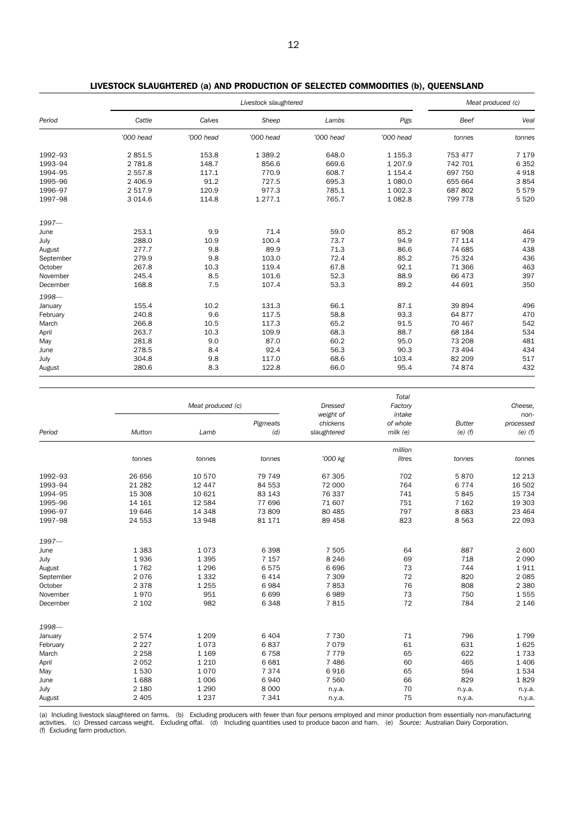|           |           |           | Meat produced (c) |           |             |         |         |
|-----------|-----------|-----------|-------------------|-----------|-------------|---------|---------|
| Period    | Cattle    | Calves    | Sheep             | Lambs     | Pigs        | Beef    | Veal    |
|           | '000 head | '000 head | '000 head         | '000 head | '000 head   | tonnes  | tonnes  |
| 1992-93   | 2 851.5   | 153.8     | 1 3 8 9.2         | 648.0     | 1 1 5 5.3   | 753 477 | 7 1 7 9 |
| 1993-94   | 2 781.8   | 148.7     | 856.6             | 669.6     | 1 207.9     | 742 701 | 6 3 5 2 |
| 1994-95   | 2 557.8   | 117.1     | 770.9             | 608.7     | 1 1 5 4 . 4 | 697 750 | 4918    |
| 1995-96   | 2 406.9   | 91.2      | 727.5             | 695.3     | 1 080.0     | 655 664 | 3854    |
| 1996-97   | 2 517.9   | 120.9     | 977.3             | 785.1     | 1 002.3     | 687 802 | 5579    |
| 1997-98   | 3 0 1 4.6 | 114.8     | 1 277.1           | 765.7     | 1 0 8 2.8   | 799 778 | 5 5 20  |
| $1997 -$  |           |           |                   |           |             |         |         |
| June      | 253.1     | 9.9       | 71.4              | 59.0      | 85.2        | 67 908  | 464     |
| July      | 288.0     | 10.9      | 100.4             | 73.7      | 94.9        | 77 114  | 479     |
| August    | 277.7     | 9.8       | 89.9              | 71.3      | 86.6        | 74 685  | 438     |
| September | 279.9     | 9.8       | 103.0             | 72.4      | 85.2        | 75 324  | 436     |
| October   | 267.8     | 10.3      | 119.4             | 67.8      | 92.1        | 71 366  | 463     |
| November  | 245.4     | 8.5       | 101.6             | 52.3      | 88.9        | 66 473  | 397     |
| December  | 168.8     | 7.5       | 107.4             | 53.3      | 89.2        | 44 691  | 350     |
| 1998-     |           |           |                   |           |             |         |         |
| January   | 155.4     | 10.2      | 131.3             | 66.1      | 87.1        | 39 894  | 496     |
| February  | 240.8     | 9.6       | 117.5             | 58.8      | 93.3        | 64 877  | 470     |
| March     | 266.8     | 10.5      | 117.3             | 65.2      | 91.5        | 70 467  | 542     |
| April     | 263.7     | 10.3      | 109.9             | 68.3      | 88.7        | 68 184  | 534     |
| May       | 281.8     | 9.0       | 87.0              | 60.2      | 95.0        | 73 208  | 481     |
| June      | 278.5     | 8.4       | 92.4              | 56.3      | 90.3        | 73 494  | 434     |
| July      | 304.8     | 9.8       | 117.0             | 68.6      | 103.4       | 82 209  | 517     |
| August    | 280.6     | 8.3       | 122.8             | 66.0      | 95.4        | 74 874  | 432     |

|                                                                                    |                                                                             | Meat produced (c)                                                              |                                                                             | <b>Dressed</b>                                                               | Total<br>Factory                             |                                                            | Cheese.<br>non-                                                     |
|------------------------------------------------------------------------------------|-----------------------------------------------------------------------------|--------------------------------------------------------------------------------|-----------------------------------------------------------------------------|------------------------------------------------------------------------------|----------------------------------------------|------------------------------------------------------------|---------------------------------------------------------------------|
| Period                                                                             | Mutton                                                                      | Lamb                                                                           | Pigmeats<br>(d)                                                             | weight of<br>chickens<br>slaughtered                                         | intake<br>of whole<br>$m$ ilk (e)            | <b>Butter</b><br>$(e)$ $(f)$                               | processed<br>$(e)$ $(f)$                                            |
|                                                                                    | tonnes                                                                      | tonnes                                                                         | tonnes                                                                      | '000 kg                                                                      | million<br>litres                            | tonnes                                                     | tonnes                                                              |
| 1992-93<br>1993-94<br>1994-95<br>1995-96<br>1996-97<br>1997-98                     | 26 656<br>21 28 2<br>15 308<br>14 161<br>19 646<br>24 553                   | 10 570<br>12 447<br>10 621<br>12 5 84<br>14 3 48<br>13 948                     | 79 749<br>84 553<br>83 143<br>77 696<br>73 809<br>81 171                    | 67 305<br>72 000<br>76 337<br>71 607<br>80 4 85<br>89 458                    | 702<br>764<br>741<br>751<br>797<br>823       | 5870<br>6 7 7 4<br>5845<br>7 1 6 2<br>8 6 8 3<br>8 5 6 3   | 12 213<br>16 502<br>15 7 34<br>19 303<br>23 4 64<br>22 093          |
| $1997 -$<br>June<br>July<br>August<br>September<br>October<br>November<br>December | 1 3 8 3<br>1936<br>1762<br>2076<br>2 3 7 8<br>1970<br>2 1 0 2               | 1073<br>1 3 9 5<br>1 2 9 6<br>1 3 3 2<br>1 2 5 5<br>951<br>982                 | 6398<br>7 1 5 7<br>6575<br>6414<br>6984<br>6 6 9 9<br>6348                  | 7 5 0 5<br>8 2 4 6<br>6696<br>7 3 0 9<br>7853<br>6989<br>7815                | 64<br>69<br>73<br>72<br>76<br>73<br>72       | 887<br>718<br>744<br>820<br>808<br>750<br>784              | 2 600<br>2 0 9 0<br>1911<br>2 0 8 5<br>2 3 8 0<br>1555<br>2 1 4 6   |
| 1998-<br>January<br>February<br>March<br>April<br>May<br>June<br>July<br>August    | 2574<br>2 2 2 7<br>2 2 5 8<br>2 0 5 2<br>1530<br>1688<br>2 1 8 0<br>2 4 0 5 | 1 2 0 9<br>1073<br>1 1 6 9<br>1 2 1 0<br>1070<br>1 0 0 6<br>1 2 9 0<br>1 2 3 7 | 6 4 0 4<br>6837<br>6758<br>6 6 8 1<br>7 3 7 4<br>6940<br>8 0 0 0<br>7 3 4 1 | 7 7 3 0<br>7079<br>7 7 7 9<br>7 4 8 6<br>6916<br>7 5 6 0<br>n.y.a.<br>n.y.a. | 71<br>61<br>65<br>60<br>65<br>66<br>70<br>75 | 796<br>631<br>622<br>465<br>594<br>829<br>n.y.a.<br>n.y.a. | 1799<br>1625<br>1733<br>1 4 0 6<br>1534<br>1829<br>n.y.a.<br>n.y.a. |

(a) Including livestock slaughtered on farms. (b) Excluding producers with fewer than four persons employed and minor production from essentially non-manufacturing activities. (c) Dressed carcass weight. Excluding offal. (d) Including quantities used to produce bacon and ham. (e) Source: Australian Dairy Corporation.<br>(f) Excluding farm production.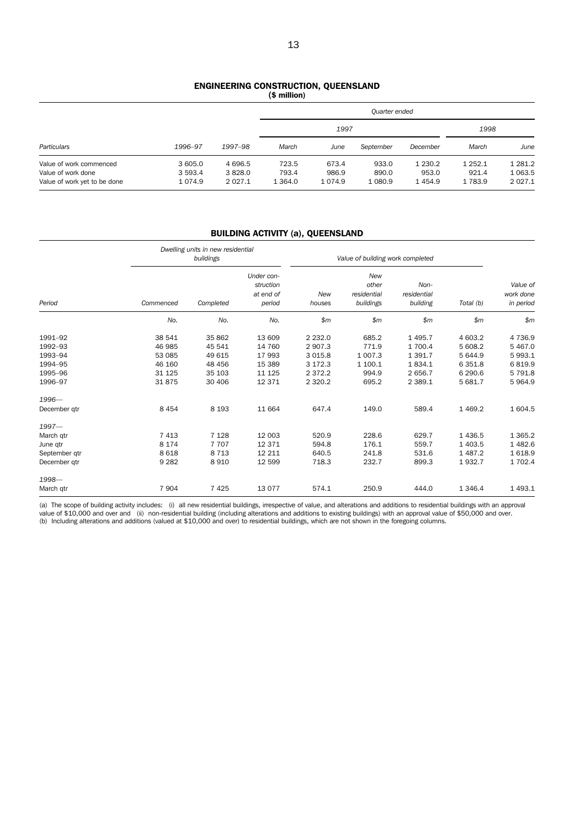#### ENGINEERING CONSTRUCTION, QUEENSLAND (\$ million)

|                              |            |             |             | 1997       |           |           | 1998        |             |
|------------------------------|------------|-------------|-------------|------------|-----------|-----------|-------------|-------------|
| Particulars                  | 1996-97    | 1997-98     | March       | June       | September | December  | March       | June        |
| Value of work commenced      | 3 605.0    | 4 6 9 6.5   | 723.5       | 673.4      | 933.0     | 1 2 3 0.2 | 1 2 5 2 . 1 | 1 2 8 1 . 2 |
| Value of work done           | 3 5 9 3.4  | 3828.0      | 793.4       | 986.9      | 890.0     | 953.0     | 921.4       | 1 0 6 3.5   |
| Value of work yet to be done | 1 0 7 4 .9 | 2 0 2 7 . 1 | 1 3 6 4 . 0 | 1 0 7 4 .9 | 1 0 8 0.9 | 1454.9    | 1 783.9     | 2 0 2 7 . 1 |

## BUILDING ACTIVITY (a), QUEENSLAND

|               |           | Dwelling units in new residential<br>buildings |                                                |               | Value of building work completed                |                                 |             |                                    |  |  |
|---------------|-----------|------------------------------------------------|------------------------------------------------|---------------|-------------------------------------------------|---------------------------------|-------------|------------------------------------|--|--|
| Period        | Commenced | Completed                                      | Under con-<br>struction<br>at end of<br>period | New<br>houses | <b>New</b><br>other<br>residential<br>buildings | Non-<br>residential<br>building | Total (b)   | Value of<br>work done<br>in period |  |  |
|               | No.       | No.                                            | No.                                            | \$m\$         | \$m\$                                           | \$m\$                           | \$m         | \$m\$                              |  |  |
| 1991-92       | 38 541    | 35 862                                         | 13 609                                         | 2 2 3 2 .0    | 685.2                                           | 1 4 9 5.7                       | 4 603.2     | 4 7 3 6.9                          |  |  |
| 1992-93       | 46 985    | 45 541                                         | 14 760                                         | 2 907.3       | 771.9                                           | 1 700.4                         | 5 608.2     | 5 4 6 7 .0                         |  |  |
| 1993-94       | 53 085    | 49 615                                         | 17 993                                         | 3 0 1 5.8     | 1 0 0 7 .3                                      | 1 3 9 1.7                       | 5 644.9     | 5 9 9 3.1                          |  |  |
| 1994-95       | 46 160    | 48 45 6                                        | 15 389                                         | 3 172.3       | 1 100.1                                         | 1834.1                          | 6 3 5 1.8   | 6819.9                             |  |  |
| 1995-96       | 31 1 25   | 35 103                                         | 11 125                                         | 2 3 7 2 . 2   | 994.9                                           | 2 656.7                         | 6 290.6     | 5 791.8                            |  |  |
| 1996-97       | 31875     | 30 40 6                                        | 12 371                                         | 2 3 2 0.2     | 695.2                                           | 2 3 8 9.1                       | 5 681.7     | 5964.9                             |  |  |
| 1996-         |           |                                                |                                                |               |                                                 |                                 |             |                                    |  |  |
| December gtr  | 8 4 5 4   | 8 1 9 3                                        | 11 664                                         | 647.4         | 149.0                                           | 589.4                           | 1 4 6 9.2   | 1 604.5                            |  |  |
| $1997 -$      |           |                                                |                                                |               |                                                 |                                 |             |                                    |  |  |
| March qtr     | 7 4 1 3   | 7 1 2 8                                        | 12 003                                         | 520.9         | 228.6                                           | 629.7                           | 1 4 3 6.5   | 1 3 6 5.2                          |  |  |
| June qtr      | 8 1 7 4   | 7 7 0 7                                        | 12 371                                         | 594.8         | 176.1                                           | 559.7                           | 1 403.5     | 1482.6                             |  |  |
| September gtr | 8 6 1 8   | 8 7 1 3                                        | 12 211                                         | 640.5         | 241.8                                           | 531.6                           | 1 4 8 7 . 2 | 1618.9                             |  |  |
| December gtr  | 9 2 8 2   | 8910                                           | 12 599                                         | 718.3         | 232.7                                           | 899.3                           | 1932.7      | 1 702.4                            |  |  |
| 1998-         |           |                                                |                                                |               |                                                 |                                 |             |                                    |  |  |
| March qtr     | 7 9 0 4   | 7 4 2 5                                        | 13 0 77                                        | 574.1         | 250.9                                           | 444.0                           | 1 3 4 6.4   | 1 4 9 3.1                          |  |  |

(a) The scope of building activity includes: (i) all new residential buildings, irrespective of value, and alterations and additions to residential buildings with an approval value of \$10,000 and over and (ii)non-residential building (including alterations and additions to existing buildings) with an approval value of \$50,000 and over.<br>(b) Including alterations and additions (valued at \$10,000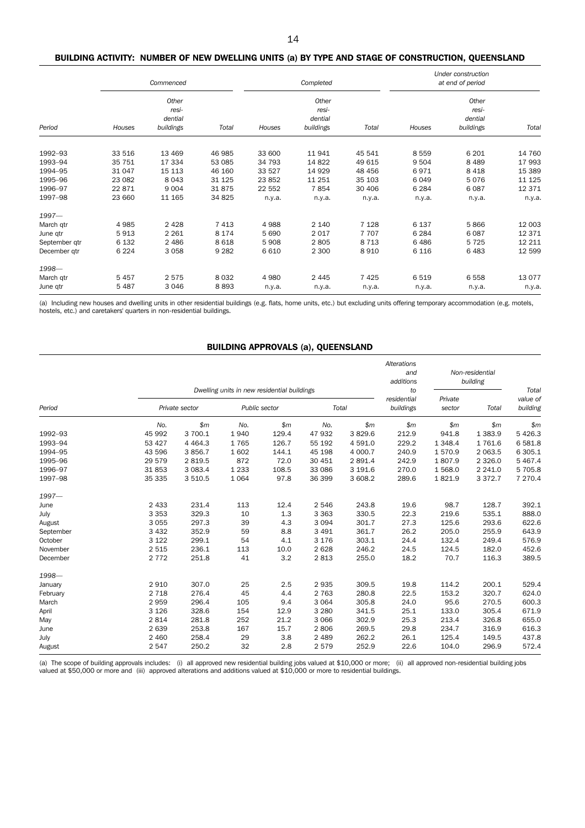#### BUILDING ACTIVITY: NUMBER OF NEW DWELLING UNITS (a) BY TYPE AND STAGE OF CONSTRUCTION, QUEENSLAND

|               | Commenced |                                        |         |         | Completed                              |         | Under construction<br>at end of period |                                        |          |
|---------------|-----------|----------------------------------------|---------|---------|----------------------------------------|---------|----------------------------------------|----------------------------------------|----------|
| Period        | Houses    | Other<br>resi-<br>dential<br>buildings | Total   | Houses  | Other<br>resi-<br>dential<br>buildings | Total   | Houses                                 | Other<br>resi-<br>dential<br>buildings | Total    |
|               |           |                                        |         |         |                                        |         |                                        |                                        |          |
| 1992-93       | 33 516    | 13 4 69                                | 46 985  | 33 600  | 11 941                                 | 45 541  | 8 5 5 9                                | 6 2 0 1                                | 14 760   |
| 1993-94       | 35 751    | 17 334                                 | 53 085  | 34 793  | 14 822                                 | 49 615  | 9 5 0 4                                | 8 4 8 9                                | 17 993   |
| 1994-95       | 31 047    | 15 113                                 | 46 160  | 33 527  | 14 9 29                                | 48 45 6 | 6971                                   | 8 4 1 8                                | 15 389   |
| 1995-96       | 23 082    | 8043                                   | 31 1 25 | 23 852  | 11 251                                 | 35 103  | 6 0 4 9                                | 5076                                   | 11 1 25  |
| 1996-97       | 22 871    | 9 0 0 4                                | 31875   | 22 552  | 7854                                   | 30 40 6 | 6 2 8 4                                | 6087                                   | 12 3 7 1 |
| 1997-98       | 23 660    | 11 165                                 | 34 825  | n.y.a.  | n.y.a.                                 | n.y.a.  | n.y.a.                                 | n.y.a.                                 | n.y.a.   |
| $1997 -$      |           |                                        |         |         |                                        |         |                                        |                                        |          |
| March qtr     | 4985      | 2 4 2 8                                | 7 4 1 3 | 4988    | 2 140                                  | 7 1 2 8 | 6 1 3 7                                | 5866                                   | 12 003   |
| June qtr      | 5913      | 2 2 6 1                                | 8 1 7 4 | 5 6 9 0 | 2017                                   | 7707    | 6 2 8 4                                | 6087                                   | 12 371   |
| September qtr | 6 1 3 2   | 2486                                   | 8618    | 5908    | 2805                                   | 8 7 1 3 | 6486                                   | 5 7 2 5                                | 12 211   |
| December atr  | 6 2 2 4   | 3058                                   | 9 2 8 2 | 6610    | 2 3 0 0                                | 8910    | 6 1 1 6                                | 6483                                   | 12 599   |
| 1998-         |           |                                        |         |         |                                        |         |                                        |                                        |          |
| March qtr     | 5457      | 2 5 7 5                                | 8 0 3 2 | 4 9 8 0 | 2 4 4 5                                | 7 4 2 5 | 6 5 1 9                                | 6 5 5 8                                | 13 0 77  |
| June qtr      | 5 4 8 7   | 3 0 4 6                                | 8893    | n.y.a.  | n.y.a.                                 | n.y.a.  | n.y.a.                                 | n.y.a.                                 | n.y.a.   |

(a) Including new houses and dwelling units in other residential buildings (e.g. flats, home units, etc.) but excluding units offering temporary accommodation (e.g. motels, hostels, etc.) and caretakers' quarters in non-residential buildings.

### BUILDING APPROVALS (a), QUEENSLAND

|           |         | Dwelling units in new residential buildings |               |       |         |           |                                |                   | Alterations<br>Non-residential<br>and<br>additions<br>building |                               |
|-----------|---------|---------------------------------------------|---------------|-------|---------|-----------|--------------------------------|-------------------|----------------------------------------------------------------|-------------------------------|
| Period    |         | Private sector                              | Public sector |       | Total   |           | to<br>residential<br>buildings | Private<br>sector | Total                                                          | Total<br>value of<br>building |
|           | No.     | \$m                                         | No.           | \$m\$ | No.     | \$m       | \$m\$                          | \$m\$             | \$m\$                                                          | \$m                           |
| 1992-93   | 45 992  | 3 700.1                                     | 1940          | 129.4 | 47 932  | 3829.6    | 212.9                          | 941.8             | 1 3 8 3 . 9                                                    | 5 4 2 6.3                     |
| 1993-94   | 53 427  | 4 4 6 4 .3                                  | 1765          | 126.7 | 55 192  | 4 5 9 1.0 | 229.2                          | 1 3 4 8.4         | 1761.6                                                         | 6 5 8 1.8                     |
| 1994-95   | 43 596  | 3856.7                                      | 1602          | 144.1 | 45 198  | 4 000.7   | 240.9                          | 1570.9            | 2 0 6 3.5                                                      | 6 3 0 5.1                     |
| 1995-96   | 29 579  | 2 8 1 9.5                                   | 872           | 72.0  | 30 451  | 2 891.4   | 242.9                          | 1807.9            | 2 3 2 6.0                                                      | 5 4 6 7 . 4                   |
| 1996-97   | 31853   | 3 0 8 3 . 4                                 | 1 2 3 3       | 108.5 | 33 086  | 3 191.6   | 270.0                          | 1 568.0           | 2 2 4 1.0                                                      | 5 705.8                       |
| 1997-98   | 35 335  | 3 5 1 0.5                                   | 1 0 6 4       | 97.8  | 36 399  | 3 608.2   | 289.6                          | 1821.9            | 3 3 7 2.7                                                      | 7 270.4                       |
| $1997 -$  |         |                                             |               |       |         |           |                                |                   |                                                                |                               |
| June      | 2 4 3 3 | 231.4                                       | 113           | 12.4  | 2 5 4 6 | 243.8     | 19.6                           | 98.7              | 128.7                                                          | 392.1                         |
| July      | 3 3 5 3 | 329.3                                       | 10            | 1.3   | 3 3 6 3 | 330.5     | 22.3                           | 219.6             | 535.1                                                          | 888.0                         |
| August    | 3 0 5 5 | 297.3                                       | 39            | 4.3   | 3 0 9 4 | 301.7     | 27.3                           | 125.6             | 293.6                                                          | 622.6                         |
| September | 3 4 3 2 | 352.9                                       | 59            | 8.8   | 3 4 9 1 | 361.7     | 26.2                           | 205.0             | 255.9                                                          | 643.9                         |
| October   | 3 1 2 2 | 299.1                                       | 54            | 4.1   | 3 1 7 6 | 303.1     | 24.4                           | 132.4             | 249.4                                                          | 576.9                         |
| November  | 2 5 1 5 | 236.1                                       | 113           | 10.0  | 2 6 2 8 | 246.2     | 24.5                           | 124.5             | 182.0                                                          | 452.6                         |
| December  | 2 7 7 2 | 251.8                                       | 41            | 3.2   | 2813    | 255.0     | 18.2                           | 70.7              | 116.3                                                          | 389.5                         |
| 1998-     |         |                                             |               |       |         |           |                                |                   |                                                                |                               |
| January   | 2 9 1 0 | 307.0                                       | 25            | 2.5   | 2 9 3 5 | 309.5     | 19.8                           | 114.2             | 200.1                                                          | 529.4                         |
| February  | 2 7 1 8 | 276.4                                       | 45            | 4.4   | 2 7 6 3 | 280.8     | 22.5                           | 153.2             | 320.7                                                          | 624.0                         |
| March     | 2959    | 296.4                                       | 105           | 9.4   | 3 0 6 4 | 305.8     | 24.0                           | 95.6              | 270.5                                                          | 600.3                         |
| April     | 3 1 2 6 | 328.6                                       | 154           | 12.9  | 3 2 8 0 | 341.5     | 25.1                           | 133.0             | 305.4                                                          | 671.9                         |
| May       | 2814    | 281.8                                       | 252           | 21.2  | 3 0 6 6 | 302.9     | 25.3                           | 213.4             | 326.8                                                          | 655.0                         |
| June      | 2 6 3 9 | 253.8                                       | 167           | 15.7  | 2806    | 269.5     | 29.8                           | 234.7             | 316.9                                                          | 616.3                         |
| July      | 2 4 6 0 | 258.4                                       | 29            | 3.8   | 2 4 8 9 | 262.2     | 26.1                           | 125.4             | 149.5                                                          | 437.8                         |
| August    | 2 5 4 7 | 250.2                                       | 32            | 2.8   | 2 5 7 9 | 252.9     | 22.6                           | 104.0             | 296.9                                                          | 572.4                         |

(a) The scope of building approvals includes: (i) all approved new residential building jobs valued at \$10,000 or more; (ii) all approved non-residential building jobs<br>valued at \$50,000 or more and (iii) approved alteratio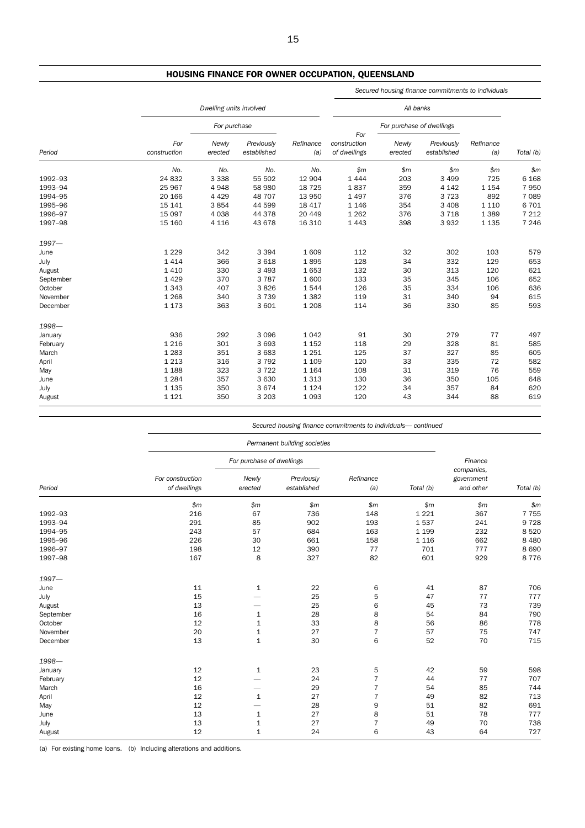## HOUSING FINANCE FOR OWNER OCCUPATION, QUEENSLAND

|           |                     |                         |                           |                  |                              | Secured housing finance commitments to individuals |                           |                  |           |
|-----------|---------------------|-------------------------|---------------------------|------------------|------------------------------|----------------------------------------------------|---------------------------|------------------|-----------|
|           |                     | Dwelling units involved |                           |                  | All banks                    |                                                    |                           |                  |           |
|           |                     | For purchase            |                           | Refinance<br>(a) | For                          | For purchase of dwellings                          |                           |                  |           |
| Period    | For<br>construction | Newly<br>erected        | Previously<br>established |                  | construction<br>of dwellings | Newly<br>erected                                   | Previously<br>established | Refinance<br>(a) | Total (b) |
|           | No.                 | No.                     | No.                       | No.              | \$m                          | \$m\$                                              | \$m\$                     | \$m\$            | \$m       |
| 1992-93   | 24 832              | 3 3 3 8                 | 55 502                    | 12 904           | 1 4 4 4                      | 203                                                | 3 4 9 9                   | 725              | 6 1 6 8   |
| 1993-94   | 25 967              | 4948                    | 58 980                    | 18 7 25          | 1837                         | 359                                                | 4 1 4 2                   | 1 1 5 4          | 7950      |
| 1994-95   | 20 16 6             | 4 4 2 9                 | 48 707                    | 13 950           | 1 4 9 7                      | 376                                                | 3723                      | 892              | 7 0 8 9   |
| 1995-96   | 15 141              | 3854                    | 44 599                    | 18 417           | 1 1 4 6                      | 354                                                | 3 4 0 8                   | 1 1 1 0          | 6 701     |
| 1996-97   | 15 0 97             | 4 0 38                  | 44 378                    | 20 449           | 1 2 6 2                      | 376                                                | 3718                      | 1 3 8 9          | 7 2 1 2   |
| 1997-98   | 15 160              | 4 1 1 6                 | 43 678                    | 16 310           | 1 4 4 3                      | 398                                                | 3932                      | 1 1 3 5          | 7 2 4 6   |
| $1997 -$  |                     |                         |                           |                  |                              |                                                    |                           |                  |           |
| June      | 1 2 2 9             | 342                     | 3 3 9 4                   | 1609             | 112                          | 32                                                 | 302                       | 103              | 579       |
| July      | 1414                | 366                     | 3 6 18                    | 1895             | 128                          | 34                                                 | 332                       | 129              | 653       |
| August    | 1 4 1 0             | 330                     | 3 4 9 3                   | 1653             | 132                          | 30                                                 | 313                       | 120              | 621       |
| September | 1 4 2 9             | 370                     | 3787                      | 1 600            | 133                          | 35                                                 | 345                       | 106              | 652       |
| October   | 1 3 4 3             | 407                     | 3826                      | 1544             | 126                          | 35                                                 | 334                       | 106              | 636       |
| November  | 1 2 6 8             | 340                     | 3739                      | 1 3 8 2          | 119                          | 31                                                 | 340                       | 94               | 615       |
| December  | 1 1 7 3             | 363                     | 3 601                     | 1 2 0 8          | 114                          | 36                                                 | 330                       | 85               | 593       |
| 1998-     |                     |                         |                           |                  |                              |                                                    |                           |                  |           |
| January   | 936                 | 292                     | 3 0 9 6                   | 1 0 4 2          | 91                           | 30                                                 | 279                       | 77               | 497       |
| February  | 1 2 1 6             | 301                     | 3 6 9 3                   | 1 1 5 2          | 118                          | 29                                                 | 328                       | 81               | 585       |
| March     | 1 2 8 3             | 351                     | 3 6 8 3                   | 1 2 5 1          | 125                          | 37                                                 | 327                       | 85               | 605       |
| April     | 1 2 1 3             | 316                     | 3792                      | 1 1 0 9          | 120                          | 33                                                 | 335                       | 72               | 582       |
| May       | 1 1 8 8             | 323                     | 3722                      | 1 1 6 4          | 108                          | 31                                                 | 319                       | 76               | 559       |
| June      | 1 2 8 4             | 357                     | 3 6 3 0                   | 1 3 1 3          | 130                          | 36                                                 | 350                       | 105              | 648       |
| July      | 1 1 3 5             | 350                     | 3674                      | 1 1 2 4          | 122                          | 34                                                 | 357                       | 84               | 620       |
| August    | 1 1 2 1             | 350                     | 3 2 0 3                   | 1 0 9 3          | 120                          | 43                                                 | 344                       | 88               | 619       |

*Secured housing finance commitments to individuals— continued*

|           |                                  | Permanent building societies |                           |                  |           |                                                  |           |  |
|-----------|----------------------------------|------------------------------|---------------------------|------------------|-----------|--------------------------------------------------|-----------|--|
|           |                                  | For purchase of dwellings    |                           |                  |           | Finance<br>companies,<br>government<br>and other |           |  |
| Period    | For construction<br>of dwellings | Newly<br>erected             | Previously<br>established | Refinance<br>(a) | Total (b) |                                                  | Total (b) |  |
|           | \$m\$                            | \$m\$                        | \$m\$                     | \$m\$            | \$m\$     | \$m                                              | \$m       |  |
| 1992-93   | 216                              | 67                           | 736                       | 148              | 1 2 2 1   | 367                                              | 7 7 5 5   |  |
| 1993-94   | 291                              | 85                           | 902                       | 193              | 1537      | 241                                              | 9728      |  |
| 1994-95   | 243                              | 57                           | 684                       | 163              | 1 1 9 9   | 232                                              | 8 5 20    |  |
| 1995-96   | 226                              | 30                           | 661                       | 158              | 1 1 1 6   | 662                                              | 8 4 8 0   |  |
| 1996-97   | 198                              | 12                           | 390                       | 77               | 701       | 777                                              | 8 6 9 0   |  |
| 1997-98   | 167                              | 8                            | 327                       | 82               | 601       | 929                                              | 8 7 7 6   |  |
| 1997-     |                                  |                              |                           |                  |           |                                                  |           |  |
| June      | 11                               | $\mathbf{1}$                 | 22                        | 6                | 41        | 87                                               | 706       |  |
| July      | 15                               |                              | 25                        | 5                | 47        | 77                                               | 777       |  |
| August    | 13                               |                              | 25                        | 6                | 45        | 73                                               | 739       |  |
| September | 16                               | $\mathbf{1}$                 | 28                        | 8                | 54        | 84                                               | 790       |  |
| October   | 12                               | $\mathbf 1$                  | 33                        | $\bf8$           | 56        | 86                                               | 778       |  |
| November  | 20                               | $\mathbf 1$                  | 27                        | $\overline{7}$   | 57        | 75                                               | 747       |  |
| December  | 13                               | $\mathbf 1$                  | 30                        | 6                | 52        | 70                                               | 715       |  |
| 1998-     |                                  |                              |                           |                  |           |                                                  |           |  |
| January   | 12                               | $\mathbf 1$                  | 23                        | 5                | 42        | 59                                               | 598       |  |
| February  | 12                               |                              | 24                        | 7                | 44        | 77                                               | 707       |  |
| March     | 16                               |                              | 29                        | $\overline{7}$   | 54        | 85                                               | 744       |  |
| April     | 12                               | $\mathbf{1}$                 | 27                        | $\overline{7}$   | 49        | 82                                               | 713       |  |
| May       | 12                               |                              | 28                        | 9                | 51        | 82                                               | 691       |  |
| June      | 13                               | $\mathbf{1}$                 | 27                        | 8                | 51        | 78                                               | 777       |  |
| July      | 13                               | $\mathbf 1$                  | 27                        | $\overline{7}$   | 49        | 70                                               | 738       |  |
| August    | 12                               | $\mathbf{1}$                 | 24                        | 6                | 43        | 64                                               | 727       |  |

(a) For existing home loans. (b) Including alterations and additions.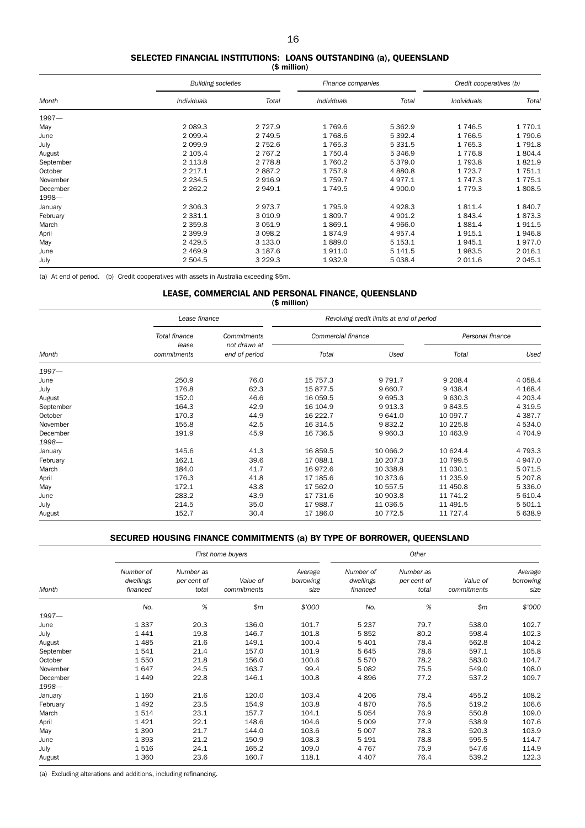#### SELECTED FINANCIAL INSTITUTIONS: LOANS OUTSTANDING (a), QUEENSLAND (\$ million)

|           | <b>Building societies</b> |             | Finance companies  |             | Credit cooperatives (b) |             |
|-----------|---------------------------|-------------|--------------------|-------------|-------------------------|-------------|
| Month     | <b>Individuals</b>        | Total       | <b>Individuals</b> | Total       | Individuals             | Total       |
| $1997 -$  |                           |             |                    |             |                         |             |
| May       | 2 0 8 9.3                 | 2 7 2 7 .9  | 1769.6             | 5 3 6 2.9   | 1746.5                  | 1 770.1     |
| June      | 2 0 9 9.4                 | 2 749.5     | 1 768.6            | 5 3 9 2.4   | 1766.5                  | 1790.6      |
| July      | 2 0 9 9.9                 | 2 7 5 2.6   | 1765.3             | 5 3 3 1.5   | 1765.3                  | 1791.8      |
| August    | 2 105.4                   | 2 7 6 7 . 2 | 1 7 5 0.4          | 5 3 4 6.9   | 1 7 7 6.8               | 1804.4      |
| September | 2 1 1 3 .8                | 2 7 7 8.8   | 1 760.2            | 5 3 7 9 . 0 | 1 7 9 3.8               | 1821.9      |
| October   | 2 2 1 7 . 1               | 2887.2      | 1 7 5 7 .9         | 4 8 8 0.8   | 1 7 2 3 . 7             | 1 751.1     |
| November  | 2 2 3 4 .5                | 2916.9      | 1759.7             | 4977.1      | 1 7 4 7 .3              | 1 7 7 5 . 1 |
| December  | 2 2 6 2.2                 | 2 9 4 9.1   | 1 749.5            | 4 900.0     | 1 7 7 9.3               | 1808.5      |
| 1998-     |                           |             |                    |             |                         |             |
| January   | 2 3 0 6.3                 | 2973.7      | 1795.9             | 4928.3      | 1811.4                  | 1840.7      |
| February  | 2 3 3 1 . 1               | 3 0 1 0.9   | 1809.7             | 4 901.2     | 1843.4                  | 1873.3      |
| March     | 2 3 5 9.8                 | 3 0 5 1.9   | 1869.1             | 4 9 66.0    | 1881.4                  | 1911.5      |
| April     | 2 3 9 9.9                 | 3 0 9 8.2   | 1874.9             | 4 9 5 7 . 4 | 1915.1                  | 1946.8      |
| May       | 2 4 2 9.5                 | 3 133.0     | 1889.0             | 5 1 5 3.1   | 1945.1                  | 1977.0      |
| June      | 2 4 6 9.9                 | 3 187.6     | 1911.0             | 5 141.5     | 1983.5                  | 2 0 16.1    |
| July      | 2 5 0 4 .5                | 3 2 2 9 . 3 | 1932.9             | 5 0 38.4    | 2 0 1 1.6               | 2 0 4 5 . 1 |

(a) At end of period. (b) Credit cooperatives with assets in Australia exceeding \$5m.

#### LEASE, COMMERCIAL AND PERSONAL FINANCE, QUEENSLAND (\$ million)

|           | Lease finance        |                               | Revolving credit limits at end of period |           |                  |             |  |  |
|-----------|----------------------|-------------------------------|------------------------------------------|-----------|------------------|-------------|--|--|
| Month     | Total finance        | Commitments                   | Commercial finance                       |           | Personal finance |             |  |  |
|           | lease<br>commitments | not drawn at<br>end of period | Total                                    | Used      | Total            | Used        |  |  |
| $1997 -$  |                      |                               |                                          |           |                  |             |  |  |
| June      | 250.9                | 76.0                          | 15 757.3                                 | 9 7 9 1.7 | 9 208.4          | 4 0 5 8.4   |  |  |
| July      | 176.8                | 62.3                          | 15877.5                                  | 9 660.7   | 9 4 38.4         | 4 1 68.4    |  |  |
| August    | 152.0                | 46.6                          | 16 059.5                                 | 9 6 9 5.3 | 9 630.3          | 4 203.4     |  |  |
| September | 164.3                | 42.9                          | 16 104.9                                 | 9913.3    | 9843.5           | 4 3 1 9.5   |  |  |
| October   | 170.3                | 44.9                          | 16 222.7                                 | 9 641.0   | 10 097.7         | 4 3 8 7 . 7 |  |  |
| November  | 155.8                | 42.5                          | 16 314.5                                 | 9832.2    | 10 225.8         | 4 5 3 4 .0  |  |  |
| December  | 191.9                | 45.9                          | 16 736.5                                 | 9 9 6 0.3 | 10 463.9         | 4 704.9     |  |  |
| 1998-     |                      |                               |                                          |           |                  |             |  |  |
| January   | 145.6                | 41.3                          | 16 859.5                                 | 10 066.2  | 10 624.4         | 4 7 9 3.3   |  |  |
| February  | 162.1                | 39.6                          | 17 088.1                                 | 10 207.3  | 10 799.5         | 4 947.0     |  |  |
| March     | 184.0                | 41.7                          | 16972.6                                  | 10 338.8  | 11 030.1         | 5 0 7 1.5   |  |  |
| April     | 176.3                | 41.8                          | 17 185.6                                 | 10 373.6  | 11 235.9         | 5 207.8     |  |  |
| May       | 172.1                | 43.8                          | 17 562.0                                 | 10 557.5  | 11 450.8         | 5 3 3 6 . 0 |  |  |
| June      | 283.2                | 43.9                          | 17 731.6                                 | 10 903.8  | 11 741.2         | 5 610.4     |  |  |
| July      | 214.5                | 35.0                          | 17 988.7                                 | 11 036.5  | 11 491.5         | 5 501.1     |  |  |
| August    | 152.7                | 30.4                          | 17 186.0                                 | 10 772.5  | 11 727.4         | 5 638.9     |  |  |

### SECURED HOUSING FINANCE COMMITMENTS (a) BY TYPE OF BORROWER, QUEENSLAND

|           |                                    |                                   | First home buyers       |                              | Other                              |                                   |                         |                              |
|-----------|------------------------------------|-----------------------------------|-------------------------|------------------------------|------------------------------------|-----------------------------------|-------------------------|------------------------------|
| Month     | Number of<br>dwellings<br>financed | Number as<br>per cent of<br>total | Value of<br>commitments | Average<br>borrowing<br>size | Number of<br>dwellings<br>financed | Number as<br>per cent of<br>total | Value of<br>commitments | Average<br>borrowing<br>size |
|           | No.                                | %                                 | \$m\$                   | \$'000                       | No.                                | %                                 | \$m\$                   | \$'000                       |
| 1997-     |                                    |                                   |                         |                              |                                    |                                   |                         |                              |
| June      | 1 3 3 7                            | 20.3                              | 136.0                   | 101.7                        | 5 2 3 7                            | 79.7                              | 538.0                   | 102.7                        |
| July      | 1441                               | 19.8                              | 146.7                   | 101.8                        | 5852                               | 80.2                              | 598.4                   | 102.3                        |
| August    | 1485                               | 21.6                              | 149.1                   | 100.4                        | 5 4 0 1                            | 78.4                              | 562.8                   | 104.2                        |
| September | 1541                               | 21.4                              | 157.0                   | 101.9                        | 5645                               | 78.6                              | 597.1                   | 105.8                        |
| October   | 1 5 5 0                            | 21.8                              | 156.0                   | 100.6                        | 5570                               | 78.2                              | 583.0                   | 104.7                        |
| November  | 1647                               | 24.5                              | 163.7                   | 99.4                         | 5 0 8 2                            | 75.5                              | 549.0                   | 108.0                        |
| December  | 1449                               | 22.8                              | 146.1                   | 100.8                        | 4896                               | 77.2                              | 537.2                   | 109.7                        |
| 1998-     |                                    |                                   |                         |                              |                                    |                                   |                         |                              |
| January   | 1 1 6 0                            | 21.6                              | 120.0                   | 103.4                        | 4 2 0 6                            | 78.4                              | 455.2                   | 108.2                        |
| February  | 1492                               | 23.5                              | 154.9                   | 103.8                        | 4870                               | 76.5                              | 519.2                   | 106.6                        |
| March     | 1514                               | 23.1                              | 157.7                   | 104.1                        | 5054                               | 76.9                              | 550.8                   | 109.0                        |
| April     | 1421                               | 22.1                              | 148.6                   | 104.6                        | 5 0 0 9                            | 77.9                              | 538.9                   | 107.6                        |
| May       | 1 3 9 0                            | 21.7                              | 144.0                   | 103.6                        | 5 0 0 7                            | 78.3                              | 520.3                   | 103.9                        |
| June      | 1 3 9 3                            | 21.2                              | 150.9                   | 108.3                        | 5 1 9 1                            | 78.8                              | 595.5                   | 114.7                        |
| July      | 1516                               | 24.1                              | 165.2                   | 109.0                        | 4767                               | 75.9                              | 547.6                   | 114.9                        |
| August    | 1 3 6 0                            | 23.6                              | 160.7                   | 118.1                        | 4 4 0 7                            | 76.4                              | 539.2                   | 122.3                        |

(a) Excluding alterations and additions, including refinancing.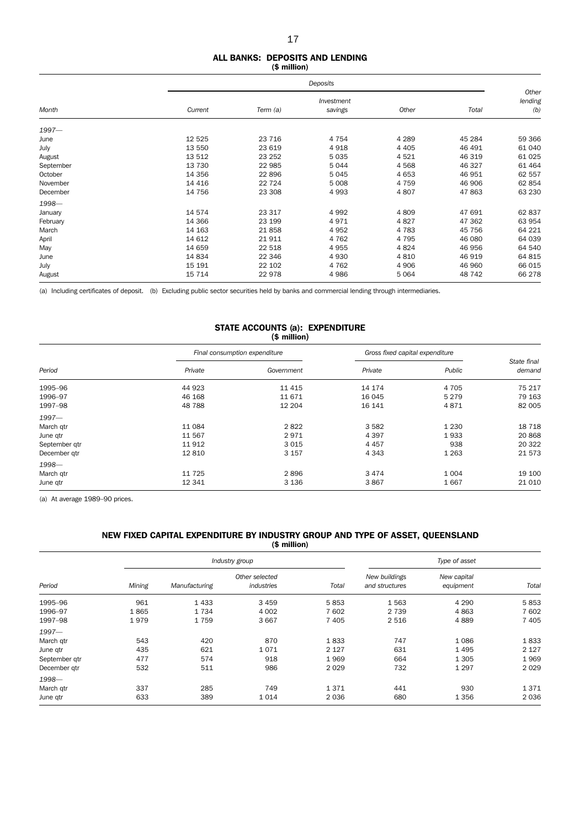### 17

#### ALL BANKS: DEPOSITS AND LENDING (\$ million)

|           |          | Deposits |                       |         |        |                         |  |  |
|-----------|----------|----------|-----------------------|---------|--------|-------------------------|--|--|
| Month     | Current  | Term (a) | Investment<br>savings | Other   | Total  | Other<br>lending<br>(b) |  |  |
| $1997 -$  |          |          |                       |         |        |                         |  |  |
| June      | 12 5 25  | 23 7 16  | 4 7 5 4               | 4 2 8 9 | 45 284 | 59 366                  |  |  |
| July      | 13 550   | 23 619   | 4918                  | 4 4 0 5 | 46 491 | 61 040                  |  |  |
| August    | 13 512   | 23 25 2  | 5 0 3 5               | 4521    | 46 319 | 61 0 25                 |  |  |
| September | 13 730   | 22 985   | 5044                  | 4568    | 46 327 | 61 4 64                 |  |  |
| October   | 14 3 5 6 | 22 896   | 5 0 4 5               | 4 6 5 3 | 46 951 | 62 557                  |  |  |
| November  | 14 4 16  | 22 7 24  | 5 0 0 8               | 4 7 5 9 | 46 906 | 62 854                  |  |  |
| December  | 14 756   | 23 308   | 4993                  | 4807    | 47 863 | 63 230                  |  |  |
| 1998-     |          |          |                       |         |        |                         |  |  |
| January   | 14 574   | 23 317   | 4992                  | 4809    | 47 691 | 62 837                  |  |  |
| February  | 14 3 66  | 23 199   | 4971                  | 4827    | 47 362 | 63 954                  |  |  |
| March     | 14 163   | 21858    | 4 9 5 2               | 4 7 8 3 | 45 756 | 64 221                  |  |  |
| April     | 14 612   | 21 911   | 4 7 6 2               | 4 7 9 5 | 46 080 | 64 039                  |  |  |
| May       | 14 659   | 22 518   | 4955                  | 4824    | 46 956 | 64 540                  |  |  |
| June      | 14 834   | 22 346   | 4930                  | 4 8 1 0 | 46 919 | 64 815                  |  |  |
| July      | 15 191   | 22 102   | 4 7 6 2               | 4 9 0 6 | 46 960 | 66 015                  |  |  |
| August    | 15 7 14  | 22 978   | 4986                  | 5 0 6 4 | 48 742 | 66 278                  |  |  |

(a) Including certificates of deposit. (b) Excluding public sector securities held by banks and commercial lending through intermediaries.

#### STATE ACCOUNTS (a): EXPENDITURE (\$ million)

|               |         | Final consumption expenditure | Gross fixed capital expenditure |         |                       |
|---------------|---------|-------------------------------|---------------------------------|---------|-----------------------|
| Period        | Private | Government                    | Private                         | Public  | State final<br>demand |
| 1995-96       | 44 923  | 11 4 15                       | 14 174                          | 4 7 0 5 | 75 217                |
| 1996-97       | 46 168  | 11 671                        | 16 045                          | 5 2 7 9 | 79 163                |
| 1997-98       | 48788   | 12 204                        | 16 141                          | 4871    | 82 005                |
| $1997 -$      |         |                               |                                 |         |                       |
| March qtr     | 11 084  | 2822                          | 3 5 8 2                         | 1 2 3 0 | 18 7 18               |
| June qtr      | 11 567  | 2971                          | 4 3 9 7                         | 1933    | 20868                 |
| September qtr | 11 912  | 3015                          | 4 4 5 7                         | 938     | 20 322                |
| December gtr  | 12810   | 3 1 5 7                       | 4 3 4 3                         | 1 2 6 3 | 21 573                |
| 1998-         |         |                               |                                 |         |                       |
| March qtr     | 11 7 25 | 2896                          | 3 4 7 4                         | 1 0 0 4 | 19 100                |
| June gtr      | 12 341  | 3 1 3 6                       | 3867                            | 1667    | 21 0 10               |

(a) At average 1989–90 prices.

#### NEW FIXED CAPITAL EXPENDITURE BY INDUSTRY GROUP AND TYPE OF ASSET, QUEENSLAND (\$ million)

| Period        |        |               | Industry group               | Type of asset |                                 |                          |         |
|---------------|--------|---------------|------------------------------|---------------|---------------------------------|--------------------------|---------|
|               | Mining | Manufacturing | Other selected<br>industries | Total         | New buildings<br>and structures | New capital<br>equipment | Total   |
| 1995-96       | 961    | 1433          | 3 4 5 9                      | 5853          | 1563                            | 4 2 9 0                  | 5853    |
| 1996-97       | 1865   | 1734          | 4 0 0 2                      | 7 602         | 2 7 3 9                         | 4863                     | 7 602   |
| 1997-98       | 1979   | 1759          | 3 6 6 7                      | 7 4 0 5       | 2 5 1 6                         | 4889                     | 7 4 0 5 |
| $1997 -$      |        |               |                              |               |                                 |                          |         |
| March gtr     | 543    | 420           | 870                          | 1833          | 747                             | 1086                     | 1833    |
| June qtr      | 435    | 621           | 1071                         | 2 1 2 7       | 631                             | 1495                     | 2 1 2 7 |
| September gtr | 477    | 574           | 918                          | 1969          | 664                             | 1 3 0 5                  | 1969    |
| December gtr  | 532    | 511           | 986                          | 2029          | 732                             | 1 2 9 7                  | 2 0 2 9 |
| 1998-         |        |               |                              |               |                                 |                          |         |
| March gtr     | 337    | 285           | 749                          | 1371          | 441                             | 930                      | 1371    |
| June qtr      | 633    | 389           | 1014                         | 2036          | 680                             | 1 3 5 6                  | 2036    |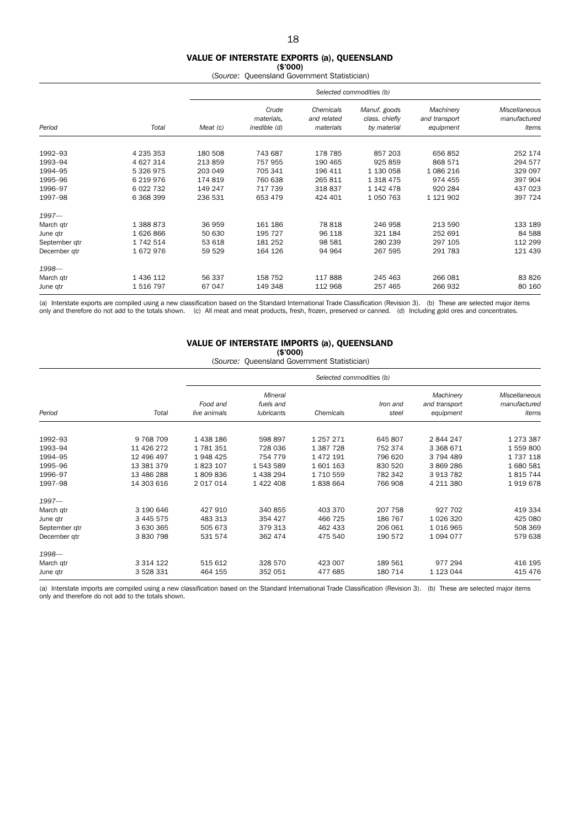#### VALUE OF INTERSTATE EXPORTS (a), QUEENSLAND

 $($ \$'000) (*Source*: Queensland Government Statistician)

|               |             |          | Selected commodities (b)            |                                       |                                               |                                         |                                        |  |  |  |
|---------------|-------------|----------|-------------------------------------|---------------------------------------|-----------------------------------------------|-----------------------------------------|----------------------------------------|--|--|--|
| Period        | Total       | Meat (c) | Crude<br>materials,<br>inedible (d) | Chemicals<br>and related<br>materials | Manuf. goods<br>class. chiefly<br>by material | Machinery<br>and transport<br>equipment | Miscellaneous<br>manufactured<br>items |  |  |  |
| 1992-93       | 4 235 353   | 180 508  | 743 687                             | 178 785                               | 857 203                                       | 656 852                                 | 252 174                                |  |  |  |
| 1993-94       | 4 627 314   | 213 859  | 757 955                             | 190 465                               | 925 859                                       | 868 571                                 | 294 577                                |  |  |  |
| 1994-95       | 5 326 975   | 203 049  | 705 341                             | 196 411                               | 1 130 058                                     | 1086216                                 | 329 097                                |  |  |  |
| 1995-96       | 6 219 976   | 174 819  | 760 638                             | 265 811                               | 1 318 475                                     | 974 455                                 | 397 904                                |  |  |  |
| 1996-97       | 6 0 22 7 32 | 149 247  | 717 739                             | 318837                                | 1 142 478                                     | 920 284                                 | 437 023                                |  |  |  |
| 1997-98       | 6 368 399   | 236 531  | 653 479                             | 424 401                               | 1 050 763                                     | 1 121 902                               | 397 724                                |  |  |  |
| $1997 -$      |             |          |                                     |                                       |                                               |                                         |                                        |  |  |  |
| March qtr     | 1 388 873   | 36 959   | 161 186                             | 78 818                                | 246 958                                       | 213 590                                 | 133 189                                |  |  |  |
| June qtr      | 1626866     | 50 630   | 195 727                             | 96 118                                | 321 184                                       | 252 691                                 | 84 5 88                                |  |  |  |
| September qtr | 1 742 514   | 53 618   | 181 252                             | 98 581                                | 280 239                                       | 297 105                                 | 112 299                                |  |  |  |
| December gtr  | 1672976     | 59 529   | 164 126                             | 94 964                                | 267 595                                       | 291 783                                 | 121 439                                |  |  |  |
| 1998-         |             |          |                                     |                                       |                                               |                                         |                                        |  |  |  |
| March qtr     | 1 436 112   | 56 337   | 158 752                             | 117888                                | 245 463                                       | 266 081                                 | 83 826                                 |  |  |  |
| June qtr      | 1516797     | 67 047   | 149 348                             | 112 968                               | 257 465                                       | 266 932                                 | 80 160                                 |  |  |  |

(a) Interstate exports are compiled using a new classification based on the Standard International Trade Classification (Revision 3). (b) These are selected major items only and therefore do not add to the totals shown. (c) All meat and meat products, fresh, frozen, preserved or canned. (d) Including gold ores and concentrates.

#### VALUE OF INTERSTATE IMPORTS (a), QUEENSLAND (\$'000)

(*Source:* Queensland Government Statistician)

|               |               |                                                                       | Selected commodities (b) |           |                   |                                         |                                        |  |  |  |  |
|---------------|---------------|-----------------------------------------------------------------------|--------------------------|-----------|-------------------|-----------------------------------------|----------------------------------------|--|--|--|--|
| Period        | Total         | Mineral<br>fuels and<br>Food and<br><b>lubricants</b><br>live animals |                          | Chemicals | Iron and<br>steel | Machinery<br>and transport<br>equipment | Miscellaneous<br>manufactured<br>items |  |  |  |  |
| 1992-93       | 9 7 68 7 09   | 1 438 186                                                             | 598 897                  | 1 257 271 | 645 807           | 2844247                                 | 1 273 387                              |  |  |  |  |
| 1993-94       | 11 426 272    | 1781351                                                               | 728 036                  | 1 387 728 | 752 374           | 3 3 6 8 6 7 1                           | 1559800                                |  |  |  |  |
| 1994-95       | 12 496 497    | 1948 425                                                              | 754 779                  | 1 472 191 | 796 620           | 3 794 489                               | 1 737 118                              |  |  |  |  |
| 1995-96       | 13 381 379    | 1823 107                                                              | 1543589                  | 1601163   | 830 520           | 3869286                                 | 1680581                                |  |  |  |  |
| 1996-97       | 13 486 288    | 1809836                                                               | 1438294                  | 1 710 559 | 782 342           | 3 913 782                               | 1815744                                |  |  |  |  |
| 1997-98       | 14 303 616    | 2 017 014                                                             | 1 422 408                | 1838664   | 766 908           | 4 211 380                               | 1919678                                |  |  |  |  |
| $1997 -$      |               |                                                                       |                          |           |                   |                                         |                                        |  |  |  |  |
| March qtr     | 3 190 646     | 427 910                                                               | 340 855                  | 403 370   | 207 758           | 927 702                                 | 419 334                                |  |  |  |  |
| June qtr      | 3 445 575     | 483 313                                                               | 354 427                  | 466 725   | 186 767           | 1 0 26 3 20                             | 425 080                                |  |  |  |  |
| September qtr | 3 630 365     | 505 673                                                               | 379 313                  | 462 433   | 206 061           | 1016965                                 | 508 369                                |  |  |  |  |
| December qtr  | 3 830 798     | 531 574                                                               | 362 474                  | 475 540   | 190 572           | 1094077                                 | 579 638                                |  |  |  |  |
| 1998-         |               |                                                                       |                          |           |                   |                                         |                                        |  |  |  |  |
| March qtr     | 3 3 1 4 1 2 2 | 515 612                                                               | 328 570                  | 423 007   | 189 561           | 977 294                                 | 416 195                                |  |  |  |  |
| June qtr      | 3 528 331     | 464 155                                                               | 352 051                  | 477 685   | 180 714           | 1 123 044                               | 415 476                                |  |  |  |  |

(a) Interstate imports are compiled using a new classification based on the Standard International Trade Classification (Revision 3). (b) These are selected major items only and therefore do not add to the totals shown.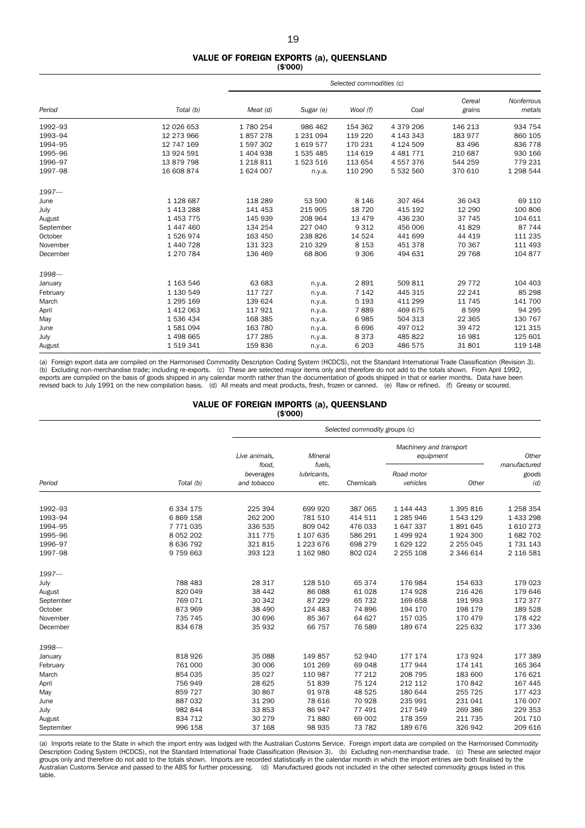#### VALUE OF FOREIGN EXPORTS (a), QUEENSLAND (\$'000)

|           |               |               | Selected commodities (c) |          |               |                  |                      |  |  |  |  |
|-----------|---------------|---------------|--------------------------|----------|---------------|------------------|----------------------|--|--|--|--|
| Period    | Total (b)     | Meat (d)      | Sugar (e)                | Wool (f) | Coal          | Cereal<br>grains | Nonferrous<br>metals |  |  |  |  |
| 1992-93   | 12 026 653    | 1780254       | 986 462                  | 154 362  | 4 379 206     | 146 213          | 934 754              |  |  |  |  |
| 1993-94   | 12 273 966    | 1857278       | 1 231 094                | 119 220  | 4 143 343     | 183 977          | 860 105              |  |  |  |  |
| 1994-95   | 12 747 169    | 1597302       | 1619577                  | 170 231  | 4 124 509     | 83 496           | 836 778              |  |  |  |  |
| 1995-96   | 13 924 591    | 1 404 938     | 1 535 485                | 114 619  | 4 4 8 1 7 7 1 | 210 687          | 930 166              |  |  |  |  |
| 1996-97   | 13 879 798    | 1 2 1 8 3 1 1 | 1 523 516                | 113 654  | 4557376       | 544 259          | 779 231              |  |  |  |  |
| 1997-98   | 16 608 874    | 1 624 007     | n.y.a.                   | 110 290  | 5 532 560     | 370 610          | 1 298 544            |  |  |  |  |
| $1997 -$  |               |               |                          |          |               |                  |                      |  |  |  |  |
| June      | 1 128 687     | 118 289       | 53 590                   | 8 1 4 6  | 307 464       | 36 043           | 69 110               |  |  |  |  |
| July      | 1 4 1 3 2 8 8 | 141 453       | 215 905                  | 18 7 20  | 415 192       | 12 290           | 100 806              |  |  |  |  |
| August    | 1 453 775     | 145 939       | 208 964                  | 13 4 7 9 | 436 230       | 37 745           | 104 611              |  |  |  |  |
| September | 1 447 460     | 134 254       | 227 040                  | 9 3 1 2  | 456 006       | 41829            | 87 744               |  |  |  |  |
| October   | 1526974       | 163 450       | 238 826                  | 14 5 24  | 441 699       | 44 419           | 111 235              |  |  |  |  |
| November  | 1 440 728     | 131 323       | 210 329                  | 8 1 5 3  | 451 378       | 70 367           | 111 493              |  |  |  |  |
| December  | 1 270 784     | 136 469       | 68 806                   | 9 3 0 6  | 494 631       | 29 7 68          | 104 877              |  |  |  |  |
| 1998-     |               |               |                          |          |               |                  |                      |  |  |  |  |
| January   | 1 163 546     | 63 683        | n.y.a.                   | 2891     | 509 811       | 29 7 7 2         | 104 403              |  |  |  |  |
| February  | 1 130 549     | 117 727       | n.y.a.                   | 7 1 4 2  | 445 315       | 22 241           | 85 298               |  |  |  |  |
| March     | 1 295 169     | 139 624       | n.y.a.                   | 5 1 9 3  | 411 299       | 11 745           | 141 700              |  |  |  |  |
| April     | 1 4 1 2 0 6 3 | 117921        | n.y.a.                   | 7889     | 469 675       | 8599             | 94 295               |  |  |  |  |
| May       | 1 536 434     | 168 385       | n.y.a.                   | 6985     | 504 313       | 22 3 65          | 130 767              |  |  |  |  |
| June      | 1581094       | 163 780       | n.y.a.                   | 6696     | 497 012       | 39 472           | 121 315              |  |  |  |  |
| July      | 1 498 665     | 177 285       | n.y.a.                   | 8373     | 485 822       | 16 981           | 125 601              |  |  |  |  |
| August    | 1519341       | 159836        | n.y.a.                   | 6 2 0 3  | 486 575       | 31801            | 119 148              |  |  |  |  |

(a) Foreign export data are compiled on the Harmonised Commodity Description Coding System (HCDCS), not the Standard International Trade Classification (Revision 3). (b) Excluding non-merchandise trade; including re-exports. (c) These are selected major items only and therefore do not add to the totals shown. From April 1992, exports are compiled on the basis of goods shipped in any calendar month rather than the documentation of goods shipped in that or earlier months. Data have been revised back to July 1991 on the new compilation basis. (d) All meats and meat products, fresh, frozen or canned. (e) Raw or refined. (f) Greasy or scoured.

#### VALUE OF FOREIGN IMPORTS (a), QUEENSLAND (\$'000)

|           |               |                        | Selected commodity groups (c) |           |                                      |             |                       |  |  |  |  |  |
|-----------|---------------|------------------------|-------------------------------|-----------|--------------------------------------|-------------|-----------------------|--|--|--|--|--|
|           |               | Live animals,<br>food. | Mineral<br>fuels.             |           | Machinery and transport<br>equipment |             | Other<br>manufactured |  |  |  |  |  |
|           |               | beverages              | lubricants,                   |           | Road motor                           |             | goods                 |  |  |  |  |  |
| Period    | Total (b)     | and tobacco            | etc.                          | Chemicals | vehicles                             | Other       | (d)                   |  |  |  |  |  |
| 1992-93   | 6 334 175     | 225 394                | 699 920                       | 387 065   | 1 144 443                            | 1 395 816   | 1 258 354             |  |  |  |  |  |
| 1993-94   | 6 869 158     | 262 200                | 781 510                       | 414 511   | 1 285 946                            | 1 543 129   | 1 433 298             |  |  |  |  |  |
| 1994-95   | 7 771 035     | 336 535                | 809 042                       | 476 033   | 1 647 337                            | 1891645     | 1610273               |  |  |  |  |  |
| 1995-96   | 8 0 5 2 2 0 2 | 311 775                | 1 107 635                     | 586 291   | 1 499 924                            | 1924 300    | 1 682 702             |  |  |  |  |  |
| 1996-97   | 8 636 792     | 321815                 | 1 223 676                     | 698 279   | 1629122                              | 2 2 5 0 4 5 | 1 731 143             |  |  |  |  |  |
| 1997-98   | 9 759 663     | 393 123                | 1 162 980                     | 802 024   | 2 2 5 1 0 8                          | 2 346 614   | 2 116 581             |  |  |  |  |  |
| $1997 -$  |               |                        |                               |           |                                      |             |                       |  |  |  |  |  |
| July      | 788 483       | 28 317                 | 128 510                       | 65 374    | 176 984                              | 154 633     | 179 023               |  |  |  |  |  |
| August    | 820 049       | 38 442                 | 86 088                        | 61 028    | 174 928                              | 216 426     | 179 646               |  |  |  |  |  |
| September | 769 071       | 30 342                 | 87 229                        | 65 732    | 169 658                              | 191 993     | 172 377               |  |  |  |  |  |
| October   | 873 969       | 38 490                 | 124 483                       | 74 896    | 194 170                              | 198 179     | 189 528               |  |  |  |  |  |
| November  | 735 745       | 30 696                 | 85 367                        | 64 627    | 157 035                              | 170 479     | 178 422               |  |  |  |  |  |
| December  | 834 678       | 35 932                 | 66 757                        | 76 589    | 189 674                              | 225 632     | 177 336               |  |  |  |  |  |
| 1998-     |               |                        |                               |           |                                      |             |                       |  |  |  |  |  |
| January   | 818 926       | 35 088                 | 149 857                       | 52 940    | 177 174                              | 173 924     | 177 389               |  |  |  |  |  |
| February  | 761 000       | 30 006                 | 101 269                       | 69 048    | 177 944                              | 174 141     | 165 364               |  |  |  |  |  |
| March     | 854 035       | 35 0 27                | 110 987                       | 77 212    | 208 795                              | 183 600     | 176 621               |  |  |  |  |  |
| April     | 756 949       | 28 6 25                | 51839                         | 75 124    | 212 112                              | 170 842     | 167 445               |  |  |  |  |  |
| May       | 859 727       | 30 867                 | 91978                         | 48 525    | 180 644                              | 255 725     | 177 423               |  |  |  |  |  |
| June      | 887 032       | 31 290                 | 78 616                        | 70 928    | 235 991                              | 231 041     | 176 007               |  |  |  |  |  |
| July      | 982 844       | 33 853                 | 86 947                        | 77 491    | 217 549                              | 269 386     | 229 353               |  |  |  |  |  |
| August    | 834 712       | 30 279                 | 71 880                        | 69 002    | 178 359                              | 211 735     | 201 710               |  |  |  |  |  |
| September | 996 158       | 37 168                 | 98 935                        | 73 782    | 189 676                              | 326 942     | 209 616               |  |  |  |  |  |

(a) Imports relate to the State in which the import entry was lodged with the Australian Customs Service. Foreign import data are compiled on the Harmonised Commodity<br>Description Coding System (HCDCS), not the Standard Int groups only and therefore do not add to the totals shown. Imports are recorded statistically in the calendar month in which the import entries are both finalised by the Australian Customs Service and passed to the ABS for further processing. (d) Manufactured goods not included in the other selected commodity groups listed in this table.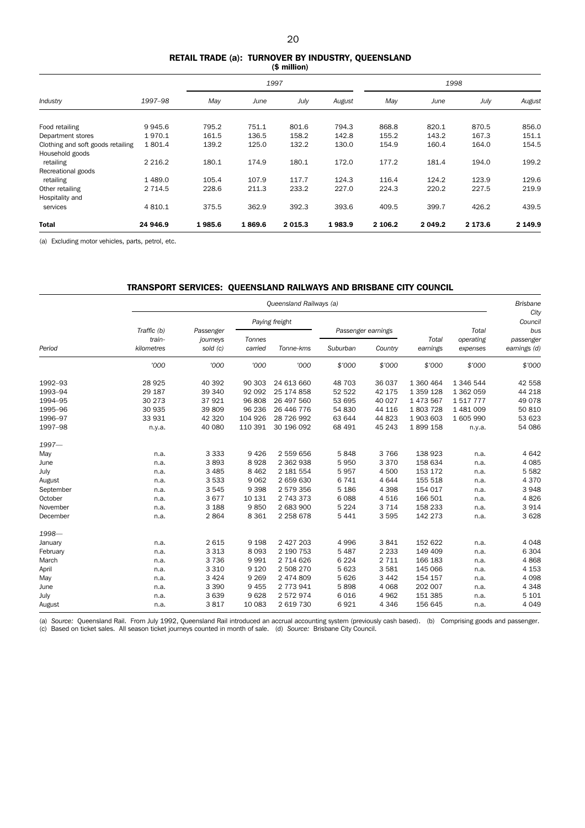#### RETAIL TRADE (a): TURNOVER BY INDUSTRY, QUEENSLAND (\$ million)

|                                   |            |        | 1997   |             |        |         | 1998       |         |         |  |
|-----------------------------------|------------|--------|--------|-------------|--------|---------|------------|---------|---------|--|
| Industry                          | 1997-98    | May    | June   | July        | August | May     | June       | July    | August  |  |
| Food retailing                    | 9945.6     | 795.2  | 751.1  | 801.6       | 794.3  | 868.8   | 820.1      | 870.5   | 856.0   |  |
| Department stores                 | 1970.1     | 161.5  | 136.5  | 158.2       | 142.8  | 155.2   | 143.2      | 167.3   | 151.1   |  |
| Clothing and soft goods retailing | 1801.4     | 139.2  | 125.0  | 132.2       | 130.0  | 154.9   | 160.4      | 164.0   | 154.5   |  |
| Household goods                   |            |        |        |             |        |         |            |         |         |  |
| retailing                         | 2 2 1 6.2  | 180.1  | 174.9  | 180.1       | 172.0  | 177.2   | 181.4      | 194.0   | 199.2   |  |
| Recreational goods                |            |        |        |             |        |         |            |         |         |  |
| retailing                         | 1489.0     | 105.4  | 107.9  | 117.7       | 124.3  | 116.4   | 124.2      | 123.9   | 129.6   |  |
| Other retailing                   | 2 7 1 4 .5 | 228.6  | 211.3  | 233.2       | 227.0  | 224.3   | 220.2      | 227.5   | 219.9   |  |
| Hospitality and                   |            |        |        |             |        |         |            |         |         |  |
| services                          | 4 8 1 0.1  | 375.5  | 362.9  | 392.3       | 393.6  | 409.5   | 399.7      | 426.2   | 439.5   |  |
| <b>Total</b>                      | 24 946.9   | 1985.6 | 1869.6 | 2 0 1 5 . 3 | 1983.9 | 2 106.2 | 2 0 4 9 .2 | 2 173.6 | 2 149.9 |  |

(a) Excluding motor vehicles, parts, petrol, etc.

## TRANSPORT SERVICES: QUEENSLAND RAILWAYS AND BRISBANE CITY COUNCIL

|           |                       | Queensland Railways (a) |         |                |                    |         |           |                    |                  |  |  |  |
|-----------|-----------------------|-------------------------|---------|----------------|--------------------|---------|-----------|--------------------|------------------|--|--|--|
|           |                       |                         |         | Paying freight |                    |         |           | Total<br>operating | City<br>Council  |  |  |  |
|           | Traffic (b)<br>train- | Passenger<br>journeys   | Tonnes  |                | Passenger earnings |         | Total     |                    | bus<br>passenger |  |  |  |
| Period    | kilometres            | sold (c)                | carried | Tonne-kms      | Suburban           | Country | earnings  | expenses           | earnings (d)     |  |  |  |
|           | '000                  | '000                    | '000    | '000           | \$'000             | \$'000  | \$'000    | \$'000             | \$'000           |  |  |  |
| 1992-93   | 28 9 25               | 40 392                  | 90 303  | 24 613 660     | 48 703             | 36 037  | 1 360 464 | 1 346 544          | 42 558           |  |  |  |
| 1993-94   | 29 187                | 39 340                  | 92 092  | 25 174 858     | 52 522             | 42 175  | 1 359 128 | 1 362 059          | 44 218           |  |  |  |
| 1994-95   | 30 273                | 37921                   | 96 808  | 26 497 560     | 53 695             | 40 027  | 1 473 567 | 1517777            | 49 0 78          |  |  |  |
| 1995-96   | 30 935                | 39 809                  | 96 236  | 26 446 776     | 54 830             | 44 116  | 1803728   | 1 481 009          | 50 810           |  |  |  |
| 1996-97   | 33 931                | 42 3 20                 | 104 926 | 28 726 992     | 63 644             | 44 823  | 1903603   | 1 605 990          | 53 623           |  |  |  |
| 1997-98   | n.y.a.                | 40 080                  | 110 391 | 30 196 092     | 68 491             | 45 243  | 1899158   | n.y.a.             | 54 086           |  |  |  |
| $1997 -$  |                       |                         |         |                |                    |         |           |                    |                  |  |  |  |
| May       | n.a.                  | 3 3 3 3                 | 9426    | 2 559 656      | 5848               | 3 7 6 6 | 138 923   | n.a.               | 4 6 4 2          |  |  |  |
| June      | n.a.                  | 3893                    | 8928    | 2 362 938      | 5950               | 3 3 7 0 | 158 634   | n.a.               | 4 0 8 5          |  |  |  |
| July      | n.a.                  | 3 4 8 5                 | 8 4 6 2 | 2 181 554      | 5957               | 4 500   | 153 172   | n.a.               | 5582             |  |  |  |
| August    | n.a.                  | 3 5 3 3                 | 9 0 6 2 | 2 659 630      | 6 7 4 1            | 4644    | 155 518   | n.a.               | 4 3 7 0          |  |  |  |
| September | n.a.                  | 3545                    | 9 3 9 8 | 2 579 356      | 5 1 8 6            | 4 3 9 8 | 154 017   | n.a.               | 3948             |  |  |  |
| October   | n.a.                  | 3677                    | 10 131  | 2 743 373      | 6088               | 4516    | 166 501   | n.a.               | 4826             |  |  |  |
| November  | n.a.                  | 3 1 8 8                 | 9850    | 2 683 900      | 5 2 2 4            | 3 7 1 4 | 158 233   | n.a.               | 3 9 1 4          |  |  |  |
| December  | n.a.                  | 2864                    | 8 3 6 1 | 2 2 5 8 6 7 8  | 5 4 4 1            | 3595    | 142 273   | n.a.               | 3 6 28           |  |  |  |
| 1998-     |                       |                         |         |                |                    |         |           |                    |                  |  |  |  |
| January   | n.a.                  | 2615                    | 9 1 9 8 | 2 427 203      | 4 9 9 6            | 3841    | 152 622   | n.a.               | 4048             |  |  |  |
| February  | n.a.                  | 3 3 1 3                 | 8 0 9 3 | 2 190 753      | 5 4 8 7            | 2 2 3 3 | 149 409   | n.a.               | 6 3 0 4          |  |  |  |
| March     | n.a.                  | 3 7 3 6                 | 9991    | 2 714 626      | 6 2 2 4            | 2 7 1 1 | 166 183   | n.a.               | 4868             |  |  |  |
| April     | n.a.                  | 3 3 1 0                 | 9 1 2 0 | 2 508 270      | 5 6 23             | 3581    | 145 066   | n.a.               | 4 1 5 3          |  |  |  |
| May       | n.a.                  | 3 4 2 4                 | 9 2 6 9 | 2 474 809      | 5 6 2 6            | 3 4 4 2 | 154 157   | n.a.               | 4 0 9 8          |  |  |  |
| June      | n.a.                  | 3 3 9 0                 | 9 4 5 5 | 2 773 941      | 5898               | 4 0 6 8 | 202 007   | n.a.               | 4 3 4 8          |  |  |  |
| July      | n.a.                  | 3 6 3 9                 | 9628    | 2572974        | 6016               | 4 9 6 2 | 151 385   | n.a.               | 5 1 0 1          |  |  |  |
| August    | n.a.                  | 3817                    | 10 083  | 2 619 730      | 6921               | 4 3 4 6 | 156 645   | n.a.               | 4 0 4 9          |  |  |  |

(a) Source: Queensland Rail. From July 1992, Queensland Rail introduced an accrual accounting system (previously cash based). (b) Comprising goods and passenger.<br>(c) Based on ticket sales. All season ticket journeys counte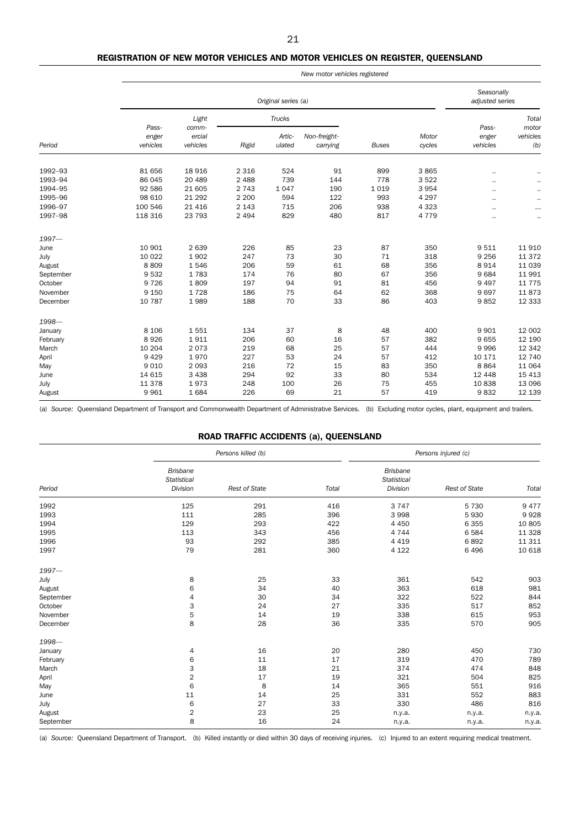### REGISTRATION OF NEW MOTOR VEHICLES AND MOTOR VEHICLES ON REGISTER, QUEENSLAND

|           |          | New motor vehicles registered |         |               |              |              |         |          |                |  |  |  |  |
|-----------|----------|-------------------------------|---------|---------------|--------------|--------------|---------|----------|----------------|--|--|--|--|
|           |          | Original series (a)           |         |               |              |              |         |          |                |  |  |  |  |
|           | Pass-    | Light<br>comm-                |         | <b>Trucks</b> |              |              |         | Pass-    | Total<br>motor |  |  |  |  |
|           | enger    | ercial                        |         | Artic-        | Non-freight- |              | Motor   | enger    | vehicles       |  |  |  |  |
| Period    | vehicles | vehicles                      | Rigid   | ulated        | carrying     | <b>Buses</b> | cycles  | vehicles | (b)            |  |  |  |  |
| 1992-93   | 81 656   | 18 9 16                       | 2 3 1 6 | 524           | 91           | 899          | 3865    |          | $\cdots$       |  |  |  |  |
| 1993-94   | 86 045   | 20 489                        | 2 4 8 8 | 739           | 144          | 778          | 3 5 2 2 |          |                |  |  |  |  |
| 1994-95   | 92 586   | 21 605                        | 2 7 4 3 | 1047          | 190          | 1 0 1 9      | 3 9 5 4 |          |                |  |  |  |  |
| 1995-96   | 98 610   | 21 2 9 2                      | 2 2 0 0 | 594           | 122          | 993          | 4 2 9 7 |          |                |  |  |  |  |
| 1996-97   | 100 546  | 21 4 16                       | 2 1 4 3 | 715           | 206          | 938          | 4 3 2 3 |          |                |  |  |  |  |
| 1997-98   | 118 316  | 23 793                        | 2 4 9 4 | 829           | 480          | 817          | 4 7 7 9 |          | $\cdot$ .      |  |  |  |  |
| $1997 -$  |          |                               |         |               |              |              |         |          |                |  |  |  |  |
| June      | 10 901   | 2 6 3 9                       | 226     | 85            | 23           | 87           | 350     | 9511     | 11 910         |  |  |  |  |
| July      | 10 0 22  | 1902                          | 247     | 73            | 30           | 71           | 318     | 9 2 5 6  | 11 372         |  |  |  |  |
| August    | 8809     | 1546                          | 206     | 59            | 61           | 68           | 356     | 8914     | 11 039         |  |  |  |  |
| September | 9 5 3 2  | 1783                          | 174     | 76            | 80           | 67           | 356     | 9684     | 11 991         |  |  |  |  |
| October   | 9 7 2 6  | 1809                          | 197     | 94            | 91           | 81           | 456     | 9 4 9 7  | 11 7 7 5       |  |  |  |  |
| November  | 9 1 5 0  | 1728                          | 186     | 75            | 64           | 62           | 368     | 9697     | 11873          |  |  |  |  |
| December  | 10 787   | 1989                          | 188     | 70            | 33           | 86           | 403     | 9852     | 12 3 3 3       |  |  |  |  |
| 1998-     |          |                               |         |               |              |              |         |          |                |  |  |  |  |
| January   | 8 1 0 6  | 1551                          | 134     | 37            | 8            | 48           | 400     | 9 9 0 1  | 12 002         |  |  |  |  |
| February  | 8926     | 1911                          | 206     | 60            | 16           | 57           | 382     | 9655     | 12 190         |  |  |  |  |
| March     | 10 204   | 2073                          | 219     | 68            | 25           | 57           | 444     | 9996     | 12 342         |  |  |  |  |
| April     | 9429     | 1970                          | 227     | 53            | 24           | 57           | 412     | 10 171   | 12 740         |  |  |  |  |
| May       | 9 0 1 0  | 2 0 9 3                       | 216     | 72            | 15           | 83           | 350     | 8864     | 11 064         |  |  |  |  |
| June      | 14 615   | 3 4 3 8                       | 294     | 92            | 33           | 80           | 534     | 12 4 4 8 | 15 4 13        |  |  |  |  |
| July      | 11 378   | 1973                          | 248     | 100           | 26           | 75           | 455     | 10838    | 13 096         |  |  |  |  |
| August    | 9 9 6 1  | 1684                          | 226     | 69            | 21           | 57           | 419     | 9832     | 12 139         |  |  |  |  |

(a) *Source:* Queensland Department of Transport and Commonwealth Department of Administrative Services. (b) Excluding motor cycles, plant, equipment and trailers.

## ROAD TRAFFIC ACCIDENTS (a), QUEENSLAND

|           |                                            | Persons killed (b)   |       | Persons injured (c)                        |                      |         |  |
|-----------|--------------------------------------------|----------------------|-------|--------------------------------------------|----------------------|---------|--|
| Period    | <b>Brisbane</b><br>Statistical<br>Division | <b>Rest of State</b> | Total | <b>Brisbane</b><br>Statistical<br>Division | <b>Rest of State</b> | Total   |  |
| 1992      | 125                                        | 291                  | 416   | 3 7 4 7                                    | 5 7 3 0              | 9 4 7 7 |  |
| 1993      | 111                                        | 285                  | 396   | 3 9 9 8                                    | 5930                 | 9928    |  |
| 1994      | 129                                        | 293                  | 422   | 4 4 5 0                                    | 6 3 5 5              | 10 805  |  |
| 1995      | 113                                        | 343                  | 456   | 4 7 4 4                                    | 6584                 | 11 3 28 |  |
| 1996      | 93                                         | 292                  | 385   | 4 4 1 9                                    | 6892                 | 11 311  |  |
| 1997      | 79                                         | 281                  | 360   | 4 1 2 2                                    | 6496                 | 10 618  |  |
| $1997 -$  |                                            |                      |       |                                            |                      |         |  |
| July      | 8                                          | 25                   | 33    | 361                                        | 542                  | 903     |  |
| August    | 6                                          | 34                   | 40    | 363                                        | 618                  | 981     |  |
| September | 4                                          | 30                   | 34    | 322                                        | 522                  | 844     |  |
| October   | 3                                          | 24                   | 27    | 335                                        | 517                  | 852     |  |
| November  | 5                                          | 14                   | 19    | 338                                        | 615                  | 953     |  |
| December  | 8                                          | 28                   | 36    | 335                                        | 570                  | 905     |  |
| 1998-     |                                            |                      |       |                                            |                      |         |  |
| January   | 4                                          | 16                   | 20    | 280                                        | 450                  | 730     |  |
| February  | 6                                          | 11                   | 17    | 319                                        | 470                  | 789     |  |
| March     | 3                                          | 18                   | 21    | 374                                        | 474                  | 848     |  |
| April     | $\overline{2}$                             | 17                   | 19    | 321                                        | 504                  | 825     |  |
| May       | 6                                          | 8                    | 14    | 365                                        | 551                  | 916     |  |
| June      | 11                                         | 14                   | 25    | 331                                        | 552                  | 883     |  |
| July      | 6                                          | 27                   | 33    | 330                                        | 486                  | 816     |  |
| August    | $\overline{c}$                             | 23                   | 25    | n.y.a.                                     | n.y.a.               | n.y.a.  |  |
| September | 8                                          | 16                   | 24    | n.y.a.                                     | n.y.a.               | n.y.a.  |  |

(a) *Source:* Queensland Department of Transport. (b) Killed instantly or died within 30 days of receiving injuries. (c) Injured to an extent requiring medical treatment.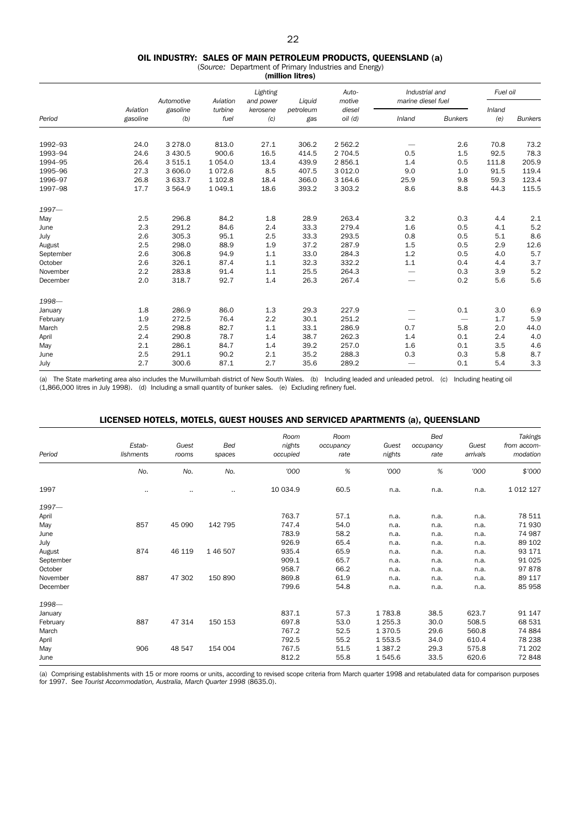#### OIL INDUSTRY: SALES OF MAIN PETROLEUM PRODUCTS, QUEENSLAND (a)

(*Source:* Department of Primary Industries and Energy) (million litres)

|           |                      | Automotive      | Aviation        | Lighting<br>and power | Liquid           | Auto-<br>motive       | Industrial and<br>marine diesel fuel |                          | Fuel oil      |                |
|-----------|----------------------|-----------------|-----------------|-----------------------|------------------|-----------------------|--------------------------------------|--------------------------|---------------|----------------|
| Period    | Aviation<br>gasoline | gasoline<br>(b) | turbine<br>fuel | kerosene<br>(c)       | petroleum<br>gas | diesel<br>$oil$ $(d)$ | Inland                               | <b>Bunkers</b>           | Inland<br>(e) | <b>Bunkers</b> |
| 1992-93   | 24.0                 | 3 2 7 8 .0      | 813.0           | 27.1                  | 306.2            | 2 5 6 2.2             |                                      | 2.6                      | 70.8          | 73.2           |
| 1993-94   | 24.6                 | 3 4 3 0.5       | 900.6           | 16.5                  | 414.5            | 2 704.5               | 0.5                                  | 1.5                      | 92.5          | 78.3           |
| 1994-95   | 26.4                 | 3 5 1 5 . 1     | 1 0 5 4 .0      | 13.4                  | 439.9            | 2856.1                | 1.4                                  | 0.5                      | 111.8         | 205.9          |
| 1995-96   | 27.3                 | 3 606.0         | 1072.6          | 8.5                   | 407.5            | 3 0 1 2.0             | 9.0                                  | 1.0                      | 91.5          | 119.4          |
| 1996-97   | 26.8                 | 3 633.7         | 1 102.8         | 18.4                  | 366.0            | 3 1 6 4 . 6           | 25.9                                 | 9.8                      | 59.3          | 123.4          |
| 1997-98   | 17.7                 | 3 5 6 4.9       | 1 0 4 9.1       | 18.6                  | 393.2            | 3 3 0 3.2             | 8.6                                  | 8.8                      | 44.3          | 115.5          |
| $1997 -$  |                      |                 |                 |                       |                  |                       |                                      |                          |               |                |
| May       | 2.5                  | 296.8           | 84.2            | 1.8                   | 28.9             | 263.4                 | 3.2                                  | 0.3                      | 4.4           | 2.1            |
| June      | 2.3                  | 291.2           | 84.6            | 2.4                   | 33.3             | 279.4                 | 1.6                                  | 0.5                      | 4.1           | 5.2            |
| July      | 2.6                  | 305.3           | 95.1            | 2.5                   | 33.3             | 293.5                 | 0.8                                  | 0.5                      | 5.1           | 8.6            |
| August    | 2.5                  | 298.0           | 88.9            | 1.9                   | 37.2             | 287.9                 | 1.5                                  | 0.5                      | 2.9           | 12.6           |
| September | 2.6                  | 306.8           | 94.9            | 1.1                   | 33.0             | 284.3                 | 1.2                                  | 0.5                      | 4.0           | 5.7            |
| October   | 2.6                  | 326.1           | 87.4            | 1.1                   | 32.3             | 332.2                 | 1.1                                  | 0.4                      | 4.4           | 3.7            |
| November  | 2.2                  | 283.8           | 91.4            | 1.1                   | 25.5             | 264.3                 |                                      | 0.3                      | 3.9           | 5.2            |
| December  | 2.0                  | 318.7           | 92.7            | 1.4                   | 26.3             | 267.4                 | $\overbrace{\phantom{12332}}$        | 0.2                      | 5.6           | 5.6            |
| 1998-     |                      |                 |                 |                       |                  |                       |                                      |                          |               |                |
| January   | 1.8                  | 286.9           | 86.0            | 1.3                   | 29.3             | 227.9                 |                                      | 0.1                      | 3.0           | 6.9            |
| February  | 1.9                  | 272.5           | 76.4            | 2.2                   | 30.1             | 251.2                 | $\overbrace{\phantom{12332}}$        | $\overline{\phantom{m}}$ | 1.7           | 5.9            |
| March     | 2.5                  | 298.8           | 82.7            | 1.1                   | 33.1             | 286.9                 | 0.7                                  | 5.8                      | 2.0           | 44.0           |
| April     | 2.4                  | 290.8           | 78.7            | 1.4                   | 38.7             | 262.3                 | 1.4                                  | 0.1                      | 2.4           | 4.0            |
| May       | 2.1                  | 286.1           | 84.7            | 1.4                   | 39.2             | 257.0                 | 1.6                                  | 0.1                      | 3.5           | 4.6            |
| June      | 2.5                  | 291.1           | 90.2            | 2.1                   | 35.2             | 288.3                 | 0.3                                  | 0.3                      | 5.8           | 8.7            |
| July      | 2.7                  | 300.6           | 87.1            | 2.7                   | 35.6             | 289.2                 |                                      | 0.1                      | 5.4           | 3.3            |

(a) The State marketing area also includes the Murwillumbah district of New South Wales. (b) Including leaded and unleaded petrol. (c) Including heating oil (1,866,000 litres in July 1998). (d) Including a small quantity of bunker sales. (e) Excluding refinery fuel.

## LICENSED HOTELS, MOTELS, GUEST HOUSES AND SERVICED APARTMENTS (a), QUEENSLAND

| Period    | Estab-<br>lishments | Guest<br>rooms | Bed<br>spaces | Room<br>nights<br>occupied | Room<br>occupancy<br>rate | Guest<br>nights | <b>Bed</b><br>occupancy<br>rate | Guest<br>arrivals | Takings<br>from accom-<br>modation |
|-----------|---------------------|----------------|---------------|----------------------------|---------------------------|-----------------|---------------------------------|-------------------|------------------------------------|
|           | No.                 | No.            | No.           | '000                       | $\%$                      | '000            | $\%$                            | '000              | \$'000                             |
| 1997      |                     |                |               | 10 034.9                   | 60.5                      | n.a.            | n.a.                            | n.a.              | 1 0 1 2 1 2 7                      |
| $1997-$   |                     |                |               |                            |                           |                 |                                 |                   |                                    |
| April     |                     |                |               | 763.7                      | 57.1                      | n.a.            | n.a.                            | n.a.              | 78 511                             |
| May       | 857                 | 45 090         | 142 795       | 747.4                      | 54.0                      | n.a.            | n.a.                            | n.a.              | 71 930                             |
| June      |                     |                |               | 783.9                      | 58.2                      | n.a.            | n.a.                            | n.a.              | 74 987                             |
| July      |                     |                |               | 926.9                      | 65.4                      | n.a.            | n.a.                            | n.a.              | 89 102                             |
| August    | 874                 | 46 119         | 1 46 507      | 935.4                      | 65.9                      | n.a.            | n.a.                            | n.a.              | 93 171                             |
| September |                     |                |               | 909.1                      | 65.7                      | n.a.            | n.a.                            | n.a.              | 91 0 25                            |
| October   |                     |                |               | 958.7                      | 66.2                      | n.a.            | n.a.                            | n.a.              | 97878                              |
| November  | 887                 | 47 302         | 150 890       | 869.8                      | 61.9                      | n.a.            | n.a.                            | n.a.              | 89 117                             |
| December  |                     |                |               | 799.6                      | 54.8                      | n.a.            | n.a.                            | n.a.              | 85 958                             |
| 1998-     |                     |                |               |                            |                           |                 |                                 |                   |                                    |
| January   |                     |                |               | 837.1                      | 57.3                      | 1783.8          | 38.5                            | 623.7             | 91 147                             |
| February  | 887                 | 47 314         | 150 153       | 697.8                      | 53.0                      | 1 2 5 5 . 3     | 30.0                            | 508.5             | 68 531                             |
| March     |                     |                |               | 767.2                      | 52.5                      | 1 3 7 0 .5      | 29.6                            | 560.8             | 74 884                             |
| April     |                     |                |               | 792.5                      | 55.2                      | 1 5 5 3 . 5     | 34.0                            | 610.4             | 78 238                             |
| May       | 906                 | 48 547         | 154 004       | 767.5                      | 51.5                      | 1 3 8 7 . 2     | 29.3                            | 575.8             | 71 202                             |
| June      |                     |                |               | 812.2                      | 55.8                      | 1545.6          | 33.5                            | 620.6             | 72848                              |

(a) Comprising establishments with 15 or more rooms or units, according to revised scope criteria from March quarter 1998 and retabulated data for comparison purposes for 1997. See *Tourist Accommodation, Australia, March Quarter 1998* (8635.0).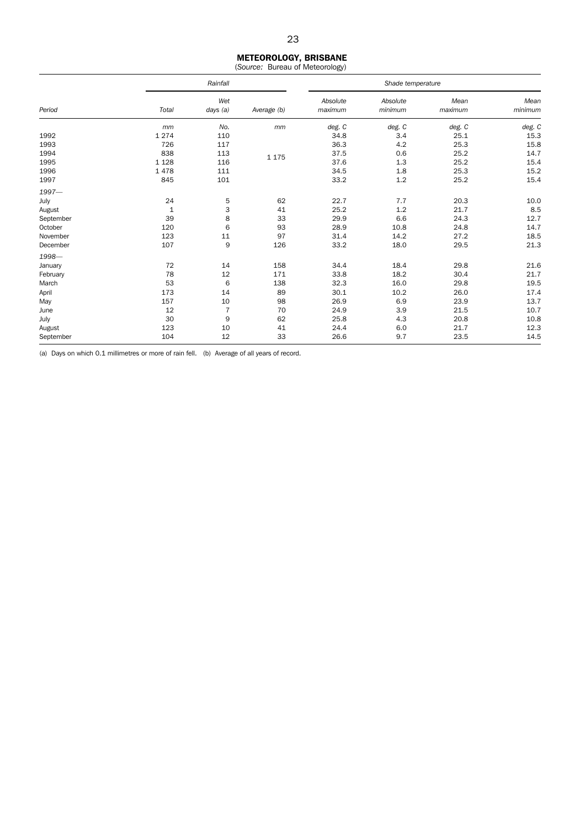## METEOROLOGY, BRISBANE

(*Source:* Bureau of Meteorology)

|           |              | Rainfall        |             |                     | Shade temperature   |                 |                 |  |  |  |
|-----------|--------------|-----------------|-------------|---------------------|---------------------|-----------------|-----------------|--|--|--|
| Period    | Total        | Wet<br>days (a) | Average (b) | Absolute<br>maximum | Absolute<br>minimum | Mean<br>maximum | Mean<br>minimum |  |  |  |
|           | mm           | No.             | mm          | deg. C              | deg. C              | deg. C          | deg. C          |  |  |  |
| 1992      | 1 2 7 4      | 110             |             | 34.8                | 3.4                 | 25.1            | 15.3            |  |  |  |
| 1993      | 726          | 117             |             | 36.3                | 4.2                 | 25.3            | 15.8            |  |  |  |
| 1994      | 838          | 113             | 1 1 7 5     | 37.5                | 0.6                 | 25.2            | 14.7            |  |  |  |
| 1995      | 1 1 2 8      | 116             |             | 37.6                | 1.3                 | 25.2            | 15.4            |  |  |  |
| 1996      | 1478         | 111             |             | 34.5                | 1.8                 | 25.3            | 15.2            |  |  |  |
| 1997      | 845          | 101             |             | 33.2                | 1.2                 | 25.2            | 15.4            |  |  |  |
| $1997 -$  |              |                 |             |                     |                     |                 |                 |  |  |  |
| July      | 24           | 5               | 62          | 22.7                | 7.7                 | 20.3            | 10.0            |  |  |  |
| August    | $\mathbf{1}$ | 3               | 41          | 25.2                | 1.2                 | 21.7            | 8.5             |  |  |  |
| September | 39           | 8               | 33          | 29.9                | 6.6                 | 24.3            | 12.7            |  |  |  |
| October   | 120          | 6               | 93          | 28.9                | 10.8                | 24.8            | 14.7            |  |  |  |
| November  | 123          | 11              | 97          | 31.4                | 14.2                | 27.2            | 18.5            |  |  |  |
| December  | 107          | 9               | 126         | 33.2                | 18.0                | 29.5            | 21.3            |  |  |  |
| 1998-     |              |                 |             |                     |                     |                 |                 |  |  |  |
| January   | 72           | 14              | 158         | 34.4                | 18.4                | 29.8            | 21.6            |  |  |  |
| February  | 78           | 12              | 171         | 33.8                | 18.2                | 30.4            | 21.7            |  |  |  |
| March     | 53           | 6               | 138         | 32.3                | 16.0                | 29.8            | 19.5            |  |  |  |
| April     | 173          | 14              | 89          | 30.1                | 10.2                | 26.0            | 17.4            |  |  |  |
| May       | 157          | 10              | 98          | 26.9                | 6.9                 | 23.9            | 13.7            |  |  |  |
| June      | 12           | $\overline{7}$  | 70          | 24.9                | 3.9                 | 21.5            | 10.7            |  |  |  |
| July      | 30           | 9               | 62          | 25.8                | 4.3                 | 20.8            | 10.8            |  |  |  |
| August    | 123          | 10              | 41          | 24.4                | 6.0                 | 21.7            | 12.3            |  |  |  |
| September | 104          | 12              | 33          | 26.6                | 9.7                 | 23.5            | 14.5            |  |  |  |

(a) Days on which 0.1 millimetres or more of rain fell. (b) Average of all years of record.